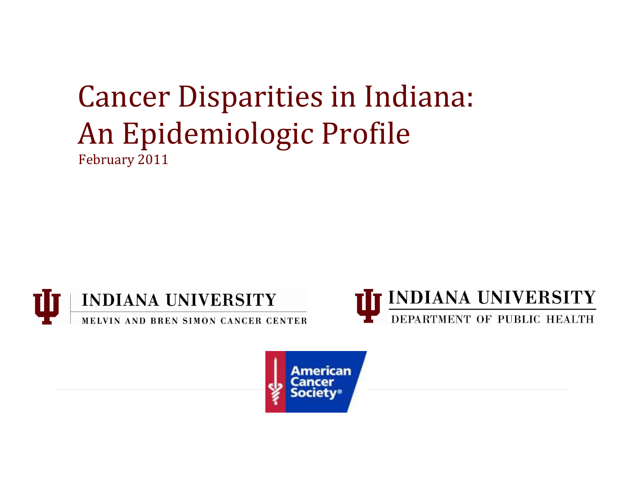# Cancer Disparities in Indiana: An Epidemiologic Profile February 2011





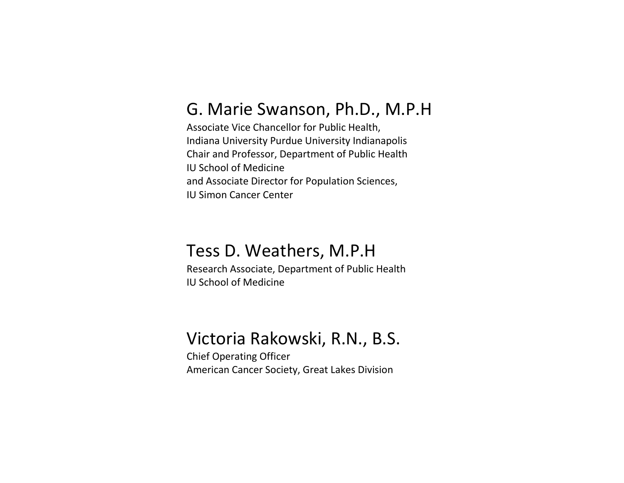# G. Marie Swanson, Ph.D., M.P.H

Associate Vice Chancellor for Public Health, Indiana University Purdue University Indianapolis Chair and Professor, Department of Public Health IU School of Medicine and Associate Director for Population Sciences, IU Simon Cancer Center

# Tess D. Weathers, M.P.H

Research Associate, Department of Public Health IU School of Medicine

# Victoria Rakowski, R.N., B.S.

Chief Operating Officer American Cancer Society, Great Lakes Division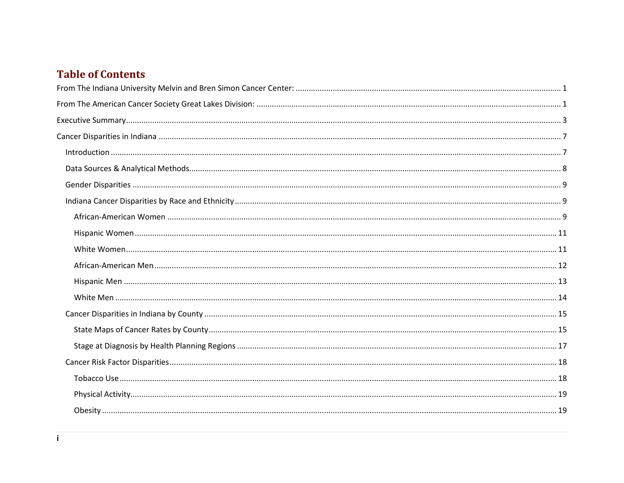## **Table of Contents**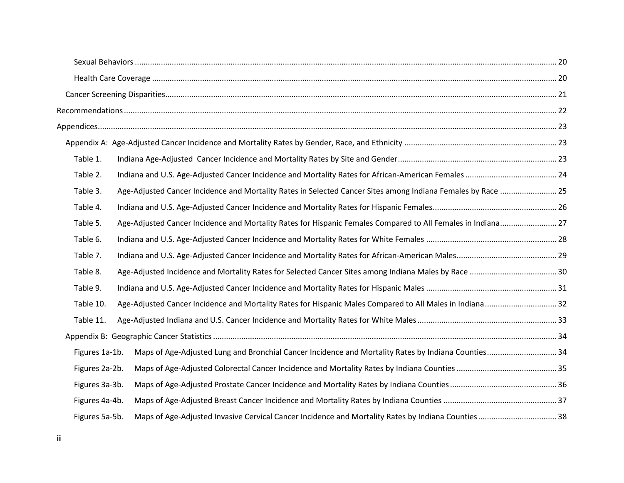| Table 1.                                                                                                                 |  |
|--------------------------------------------------------------------------------------------------------------------------|--|
| Table 2.                                                                                                                 |  |
| Table 3.<br>Age-Adjusted Cancer Incidence and Mortality Rates in Selected Cancer Sites among Indiana Females by Race  25 |  |
| Table 4.                                                                                                                 |  |
| Table 5.<br>Age-Adjusted Cancer Incidence and Mortality Rates for Hispanic Females Compared to All Females in Indiana 27 |  |
| Table 6.                                                                                                                 |  |
| Table 7.                                                                                                                 |  |
| Table 8.                                                                                                                 |  |
| Table 9.                                                                                                                 |  |
| Age-Adjusted Cancer Incidence and Mortality Rates for Hispanic Males Compared to All Males in Indiana 32<br>Table 10.    |  |
| Table 11.                                                                                                                |  |
|                                                                                                                          |  |
| Maps of Age-Adjusted Lung and Bronchial Cancer Incidence and Mortality Rates by Indiana Counties 34<br>Figures 1a-1b.    |  |
| Figures 2a-2b.                                                                                                           |  |
| Figures 3a-3b.                                                                                                           |  |
| Figures 4a-4b.                                                                                                           |  |
| Figures 5a-5b.                                                                                                           |  |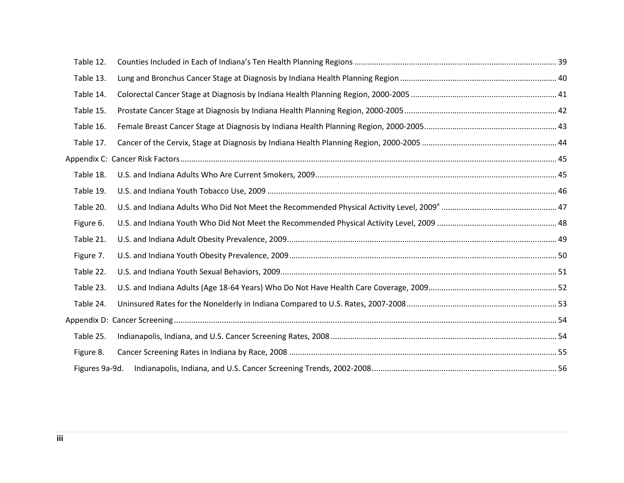| Table 12.      |  |
|----------------|--|
| Table 13.      |  |
| Table 14.      |  |
| Table 15.      |  |
| Table 16.      |  |
| Table 17.      |  |
|                |  |
| Table 18.      |  |
| Table 19.      |  |
| Table 20.      |  |
| Figure 6.      |  |
| Table 21.      |  |
| Figure 7.      |  |
| Table 22.      |  |
| Table 23.      |  |
| Table 24.      |  |
|                |  |
| Table 25.      |  |
| Figure 8.      |  |
| Figures 9a-9d. |  |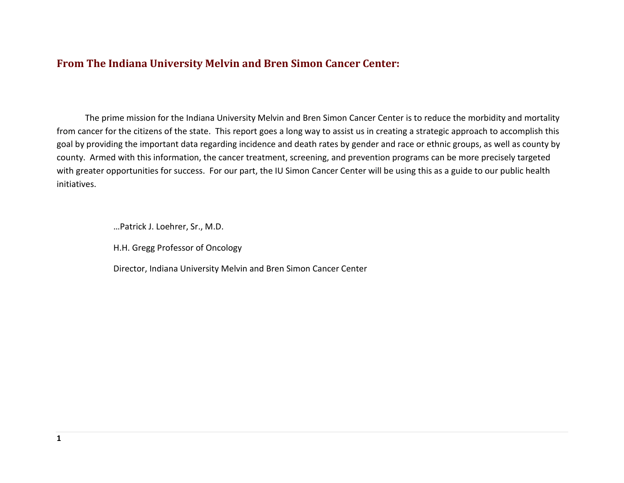## <span id="page-5-0"></span>**From The Indiana University Melvin and Bren Simon Cancer Center:**

The prime mission for the Indiana University Melvin and Bren Simon Cancer Center is to reduce the morbidity and mortality from cancer for the citizens of the state. This report goes a long way to assist us in creating a strategic approach to accomplish this goal by providing the important data regarding incidence and death rates by gender and race or ethnic groups, as well as county by county. Armed with this information, the cancer treatment, screening, and prevention programs can be more precisely targeted with greater opportunities for success. For our part, the IU Simon Cancer Center will be using this as a guide to our public health initiatives.

…Patrick J. Loehrer, Sr., M.D.

H.H. Gregg Professor of Oncology

<span id="page-5-1"></span>Director, Indiana University Melvin and Bren Simon Cancer Center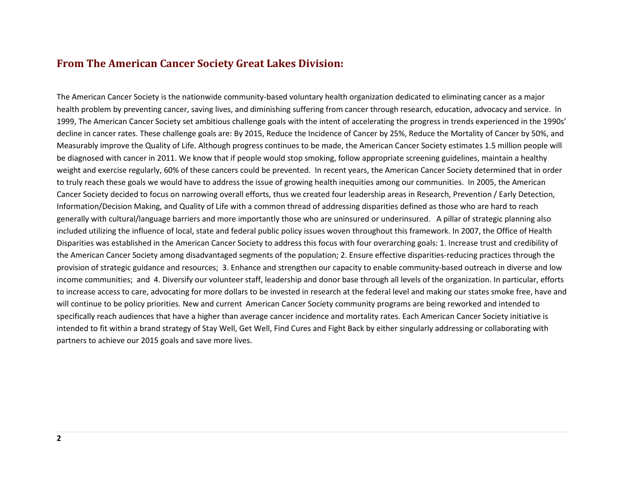## **From The American Cancer Society Great Lakes Division:**

The American Cancer Society is the nationwide community-based voluntary health organization dedicated to eliminating cancer as a major health problem by preventing cancer, saving lives, and diminishing suffering from cancer through research, education, advocacy and service. In 1999, The American Cancer Society set ambitious challenge goals with the intent of accelerating the progress in trends experienced in the 1990s' decline in cancer rates. These challenge goals are: By 2015, Reduce the Incidence of Cancer by 25%, Reduce the Mortality of Cancer by 50%, and Measurably improve the Quality of Life. Although progress continues to be made, the American Cancer Society estimates 1.5 million people will be diagnosed with cancer in 2011. We know that if people would stop smoking, follow appropriate screening guidelines, maintain a healthy weight and exercise regularly, 60% of these cancers could be prevented. In recent years, the American Cancer Society determined that in order to truly reach these goals we would have to address the issue of growing health inequities among our communities. In 2005, the American Cancer Society decided to focus on narrowing overall efforts, thus we created four leadership areas in Research, Prevention / Early Detection, Information/Decision Making, and Quality of Life with a common thread of addressing disparities defined as those who are hard to reach generally with cultural/language barriers and more importantly those who are uninsured or underinsured. A pillar of strategic planning also included utilizing the influence of local, state and federal public policy issues woven throughout this framework. In 2007, the Office of Health Disparities was established in the American Cancer Society to address this focus with four overarching goals: 1. Increase trust and credibility of the American Cancer Society among disadvantaged segments of the population; 2. Ensure effective disparities-reducing practices through the provision of strategic guidance and resources; 3. Enhance and strengthen our capacity to enable community-based outreach in diverse and low income communities; and 4. Diversify our volunteer staff, leadership and donor base through all levels of the organization. In particular, efforts to increase access to care, advocating for more dollars to be invested in research at the federal level and making our states smoke free, have and will continue to be policy priorities. New and current American Cancer Society community programs are being reworked and intended to specifically reach audiences that have a higher than average cancer incidence and mortality rates. Each American Cancer Society initiative is intended to fit within a brand strategy of Stay Well, Get Well, Find Cures and Fight Back by either singularly addressing or collaborating with partners to achieve our 2015 goals and save more lives.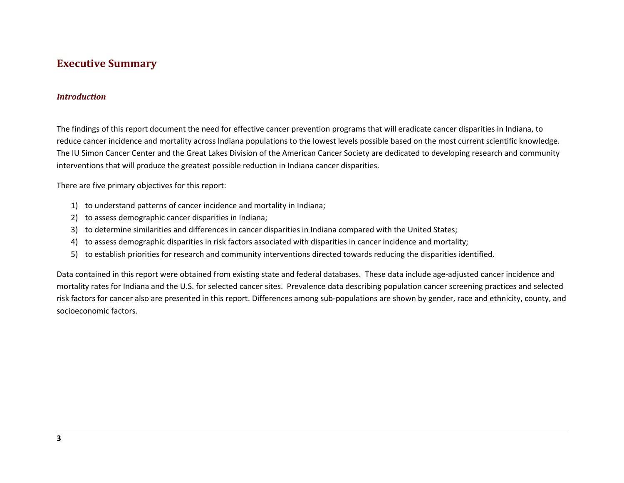## <span id="page-7-0"></span>**Executive Summary**

#### *Introduction*

The findings of this report document the need for effective cancer prevention programs that will eradicate cancer disparities in Indiana, to reduce cancer incidence and mortality across Indiana populations to the lowest levels possible based on the most current scientific knowledge. The IU Simon Cancer Center and the Great Lakes Division of the American Cancer Society are dedicated to developing research and community interventions that will produce the greatest possible reduction in Indiana cancer disparities.

There are five primary objectives for this report:

- 1) to understand patterns of cancer incidence and mortality in Indiana;
- 2) to assess demographic cancer disparities in Indiana;
- 3) to determine similarities and differences in cancer disparities in Indiana compared with the United States;
- 4) to assess demographic disparities in risk factors associated with disparities in cancer incidence and mortality;
- 5) to establish priorities for research and community interventions directed towards reducing the disparities identified.

Data contained in this report were obtained from existing state and federal databases. These data include age-adjusted cancer incidence and mortality rates for Indiana and the U.S. for selected cancer sites. Prevalence data describing population cancer screening practices and selected risk factors for cancer also are presented in this report. Differences among sub-populations are shown by gender, race and ethnicity, county, and socioeconomic factors.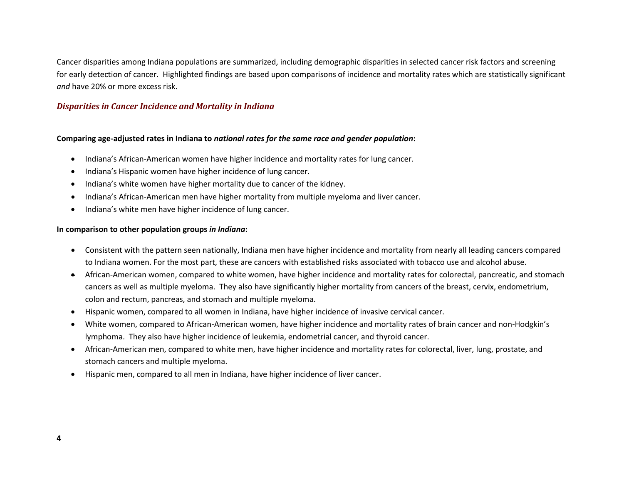Cancer disparities among Indiana populations are summarized, including demographic disparities in selected cancer risk factors and screening for early detection of cancer. Highlighted findings are based upon comparisons of incidence and mortality rates which are statistically significant *and* have 20% or more excess risk.

#### *Disparities in Cancer Incidence and Mortality in Indiana*

#### **Comparing age-adjusted rates in Indiana to** *national rates for the same race and gender population***:**

- Indiana's African-American women have higher incidence and mortality rates for lung cancer.
- Indiana's Hispanic women have higher incidence of lung cancer.
- Indiana's white women have higher mortality due to cancer of the kidney.
- Indiana's African-American men have higher mortality from multiple myeloma and liver cancer.
- Indiana's white men have higher incidence of lung cancer.

#### **In comparison to other population groups** *in Indiana***:**

- Consistent with the pattern seen nationally, Indiana men have higher incidence and mortality from nearly all leading cancers compared to Indiana women. For the most part, these are cancers with established risks associated with tobacco use and alcohol abuse.
- African-American women, compared to white women, have higher incidence and mortality rates for colorectal, pancreatic, and stomach cancers as well as multiple myeloma. They also have significantly higher mortality from cancers of the breast, cervix, endometrium, colon and rectum, pancreas, and stomach and multiple myeloma.
- Hispanic women, compared to all women in Indiana, have higher incidence of invasive cervical cancer.
- White women, compared to African-American women, have higher incidence and mortality rates of brain cancer and non-Hodgkin's lymphoma. They also have higher incidence of leukemia, endometrial cancer, and thyroid cancer.
- African-American men, compared to white men, have higher incidence and mortality rates for colorectal, liver, lung, prostate, and stomach cancers and multiple myeloma.
- Hispanic men, compared to all men in Indiana, have higher incidence of liver cancer.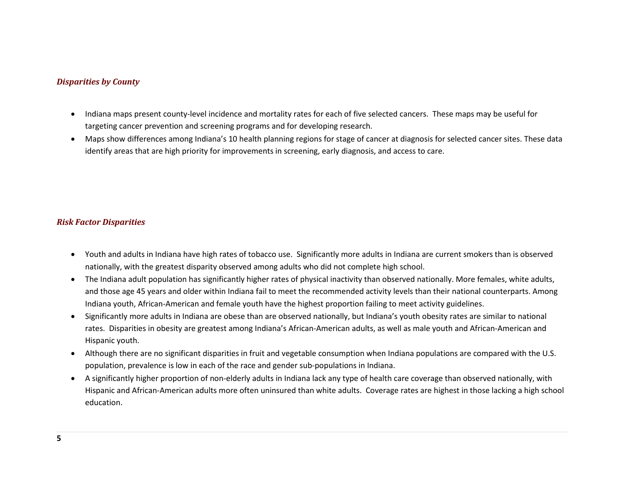#### *Disparities by County*

- Indiana maps present county-level incidence and mortality rates for each of five selected cancers. These maps may be useful for targeting cancer prevention and screening programs and for developing research.
- Maps show differences among Indiana's 10 health planning regions for stage of cancer at diagnosis for selected cancer sites. These data identify areas that are high priority for improvements in screening, early diagnosis, and access to care.

#### *Risk Factor Disparities*

- Youth and adults in Indiana have high rates of tobacco use. Significantly more adults in Indiana are current smokers than is observed nationally, with the greatest disparity observed among adults who did not complete high school.
- The Indiana adult population has significantly higher rates of physical inactivity than observed nationally. More females, white adults, and those age 45 years and older within Indiana fail to meet the recommended activity levels than their national counterparts. Among Indiana youth, African-American and female youth have the highest proportion failing to meet activity guidelines.
- Significantly more adults in Indiana are obese than are observed nationally, but Indiana's youth obesity rates are similar to national rates. Disparities in obesity are greatest among Indiana's African-American adults, as well as male youth and African-American and Hispanic youth.
- Although there are no significant disparities in fruit and vegetable consumption when Indiana populations are compared with the U.S. population, prevalence is low in each of the race and gender sub-populations in Indiana.
- A significantly higher proportion of non-elderly adults in Indiana lack any type of health care coverage than observed nationally, with Hispanic and African-American adults more often uninsured than white adults. Coverage rates are highest in those lacking a high school education.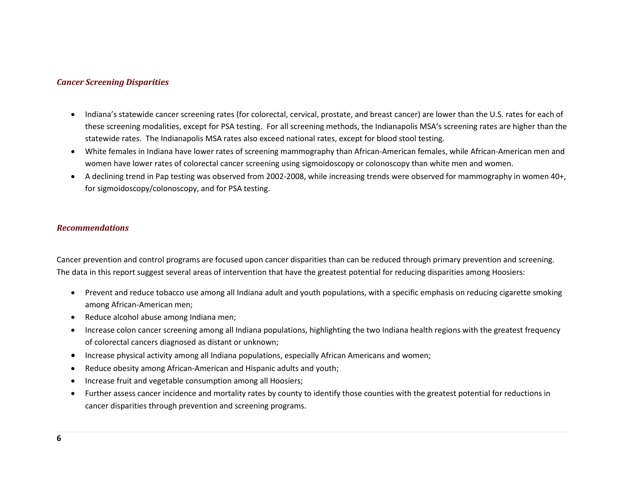#### *Cancer Screening Disparities*

- Indiana's statewide cancer screening rates (for colorectal, cervical, prostate, and breast cancer) are lower than the U.S. rates for each of these screening modalities, except for PSA testing. For all screening methods, the Indianapolis MSA's screening rates are higher than the statewide rates. The Indianapolis MSA rates also exceed national rates, except for blood stool testing.
- White females in Indiana have lower rates of screening mammography than African-American females, while African-American men and women have lower rates of colorectal cancer screening using sigmoidoscopy or colonoscopy than white men and women.
- A declining trend in Pap testing was observed from 2002-2008, while increasing trends were observed for mammography in women 40+, for sigmoidoscopy/colonoscopy, and for PSA testing.

#### *Recommendations*

Cancer prevention and control programs are focused upon cancer disparities than can be reduced through primary prevention and screening. The data in this report suggest several areas of intervention that have the greatest potential for reducing disparities among Hoosiers:

- Prevent and reduce tobacco use among all Indiana adult and youth populations, with a specific emphasis on reducing cigarette smoking among African-American men;
- Reduce alcohol abuse among Indiana men;
- Increase colon cancer screening among all Indiana populations, highlighting the two Indiana health regions with the greatest frequency of colorectal cancers diagnosed as distant or unknown;
- Increase physical activity among all Indiana populations, especially African Americans and women;
- Reduce obesity among African-American and Hispanic adults and youth;
- Increase fruit and vegetable consumption among all Hoosiers;
- Further assess cancer incidence and mortality rates by county to identify those counties with the greatest potential for reductions in cancer disparities through prevention and screening programs.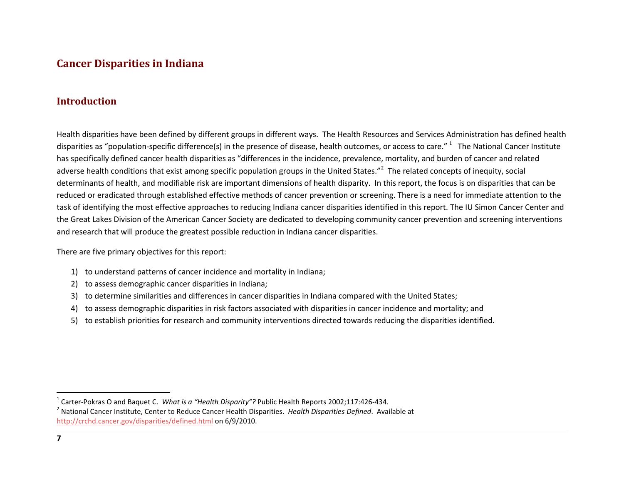## <span id="page-11-3"></span><span id="page-11-2"></span><span id="page-11-0"></span>**Cancer Disparities in Indiana**

## <span id="page-11-1"></span>**Introduction**

Health disparities have been defined by different groups in different ways. The Health Resources and Services Administration has defined health disparities as "population-specific difference(s) in the presence of disease, health outcomes, or access to care." The National Cancer Institute has specifically defined cancer health disparities as "differences in the incidence, prevalence, mortality, and burden of cancer and related adverse health conditions that exist among specific population groups in the United States."<sup>[2](#page-11-3)</sup> The related concepts of inequity, social determinants of health, and modifiable risk are important dimensions of health disparity. In this report, the focus is on disparities that can be reduced or eradicated through established effective methods of cancer prevention or screening. There is a need for immediate attention to the task of identifying the most effective approaches to reducing Indiana cancer disparities identified in this report. The IU Simon Cancer Center and the Great Lakes Division of the American Cancer Society are dedicated to developing community cancer prevention and screening interventions and research that will produce the greatest possible reduction in Indiana cancer disparities.

There are five primary objectives for this report:

- 1) to understand patterns of cancer incidence and mortality in Indiana;
- 2) to assess demographic cancer disparities in Indiana;
- 3) to determine similarities and differences in cancer disparities in Indiana compared with the United States;
- 4) to assess demographic disparities in risk factors associated with disparities in cancer incidence and mortality; and
- 5) to establish priorities for research and community interventions directed towards reducing the disparities identified.

<sup>&</sup>lt;sup>1</sup> Carter-Pokras O and Baquet C. *What is a "Health Disparity"?* Public Health Reports 2002;117:426-434.<br><sup>2</sup> National Cancer Institute, Center to Reduce Cancer Health Disparities. *Health Disparities Defined*. Available <http://crchd.cancer.gov/disparities/defined.html> on 6/9/2010.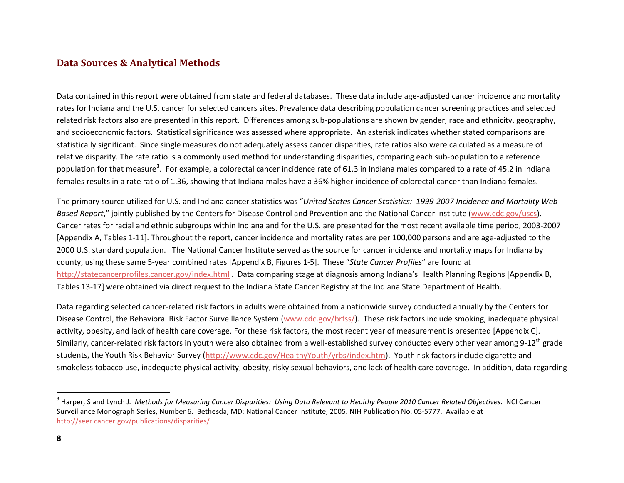## <span id="page-12-1"></span><span id="page-12-0"></span>**Data Sources & Analytical Methods**

Data contained in this report were obtained from state and federal databases. These data include age-adjusted cancer incidence and mortality rates for Indiana and the U.S. cancer for selected cancers sites. Prevalence data describing population cancer screening practices and selected related risk factors also are presented in this report. Differences among sub-populations are shown by gender, race and ethnicity, geography, and socioeconomic factors. Statistical significance was assessed where appropriate. An asterisk indicates whether stated comparisons are statistically significant. Since single measures do not adequately assess cancer disparities, rate ratios also were calculated as a measure of relative disparity. The rate ratio is a commonly used method for understanding disparities, comparing each sub-population to a reference population for that measure<sup>[3](#page-12-1)</sup>. For example, a colorectal cancer incidence rate of 61.3 in Indiana males compared to a rate of 45.2 in Indiana females results in a rate ratio of 1.36, showing that Indiana males have a 36% higher incidence of colorectal cancer than Indiana females.

The primary source utilized for U.S. and Indiana cancer statistics was "*United States Cancer Statistics: 1999-2007 Incidence and Mortality Web*Based Report," jointly published by the Centers for Disease Control and Prevention and the National Cancer Institute ([www.cdc.gov/uscs\)](http://www.cdc.gov/uscs). Cancer rates for racial and ethnic subgroups within Indiana and for the U.S. are presented for the most recent available time period, 2003-2007 [Appendix A, Tables 1-11]. Throughout the report, cancer incidence and mortality rates are per 100,000 persons and are age-adjusted to the 2000 U.S. standard population. The National Cancer Institute served as the source for cancer incidence and mortality maps for Indiana by county, using these same 5-year combined rates [Appendix B, Figures 1-5]. These "*State Cancer Profiles*" are found at <http://statecancerprofiles.cancer.gov/index.html> . Data comparing stage at diagnosis among Indiana's Health Planning Regions [Appendix B, Tables 13-17] were obtained via direct request to the Indiana State Cancer Registry at the Indiana State Department of Health.

Data regarding selected cancer-related risk factors in adults were obtained from a nationwide survey conducted annually by the Centers for Disease Control, the Behavioral Risk Factor Surveillance System [\(www.cdc.gov/brfss/\)](http://www.cdc.gov/brfss/). These risk factors include smoking, inadequate physical activity, obesity, and lack of health care coverage. For these risk factors, the most recent year of measurement is presented [Appendix C]. Similarly, cancer-related risk factors in youth were also obtained from a well-established survey conducted every other year among 9-12<sup>th</sup> grade students, the Youth Risk Behavior Survey [\(http://www.cdc.gov/HealthyYouth/yrbs/index.htm\)](http://www.cdc.gov/HealthyYouth/yrbs/index.htm). Youth risk factors include cigarette and smokeless tobacco use, inadequate physical activity, obesity, risky sexual behaviors, and lack of health care coverage. In addition, data regarding

 <sup>3</sup> Harper, S and Lynch J. *Methods for Measuring Cancer Disparities: Using Data Relevant to Healthy People 2010 Cancer Related Objectives*. NCI Cancer Surveillance Monograph Series, Number 6. Bethesda, MD: National Cancer Institute, 2005. NIH Publication No. 05-5777. Available at <http://seer.cancer.gov/publications/disparities/>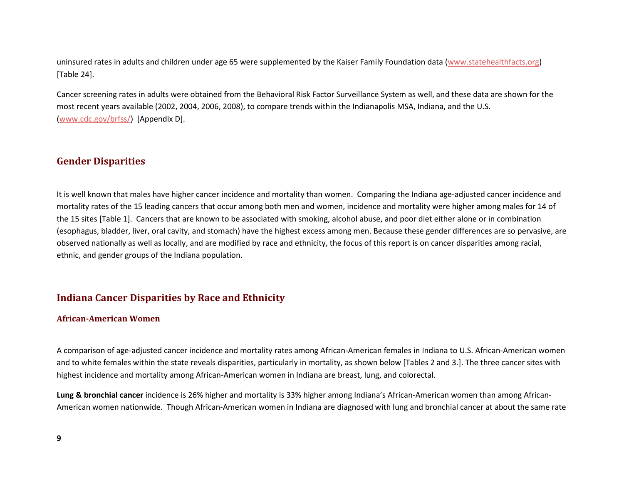uninsured rates in adults and children under age 65 were supplemented by the Kaiser Family Foundation data [\(www.statehealthfacts.org\)](http://www.statehealthfacts.org/) [Table 24].

Cancer screening rates in adults were obtained from the Behavioral Risk Factor Surveillance System as well, and these data are shown for the most recent years available (2002, 2004, 2006, 2008), to compare trends within the Indianapolis MSA, Indiana, and the U.S. [\(www.cdc.gov/brfss/\)](http://www.cdc.gov/brfss/) [Appendix D].

## <span id="page-13-0"></span>**Gender Disparities**

It is well known that males have higher cancer incidence and mortality than women. Comparing the Indiana age-adjusted cancer incidence and mortality rates of the 15 leading cancers that occur among both men and women, incidence and mortality were higher among males for 14 of the 15 sites [Table 1]. Cancers that are known to be associated with smoking, alcohol abuse, and poor diet either alone or in combination (esophagus, bladder, liver, oral cavity, and stomach) have the highest excess among men. Because these gender differences are so pervasive, are observed nationally as well as locally, and are modified by race and ethnicity, the focus of this report is on cancer disparities among racial, ethnic, and gender groups of the Indiana population.

## <span id="page-13-1"></span>**Indiana Cancer Disparities by Race and Ethnicity**

#### <span id="page-13-2"></span>**African-American Women**

A comparison of age-adjusted cancer incidence and mortality rates among African-American females in Indiana to U.S. African-American women and to white females within the state reveals disparities, particularly in mortality, as shown below [Tables 2 and 3.]. The three cancer sites with highest incidence and mortality among African-American women in Indiana are breast, lung, and colorectal.

**Lung & bronchial cancer** incidence is 26% higher and mortality is 33% higher among Indiana's African-American women than among African-American women nationwide. Though African-American women in Indiana are diagnosed with lung and bronchial cancer at about the same rate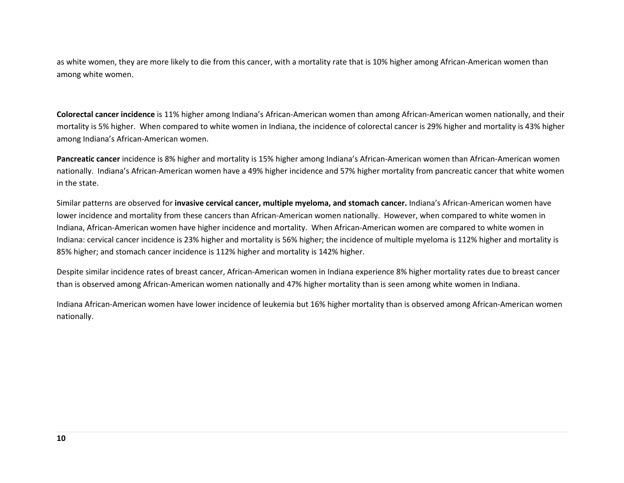as white women, they are more likely to die from this cancer, with a mortality rate that is 10% higher among African-American women than among white women.

**Colorectal cancer incidence** is 11% higher among Indiana's African-American women than among African-American women nationally, and their mortality is 5% higher. When compared to white women in Indiana, the incidence of colorectal cancer is 29% higher and mortality is 43% higher among Indiana's African-American women.

**Pancreatic cancer** incidence is 8% higher and mortality is 15% higher among Indiana's African-American women than African-American women nationally. Indiana's African-American women have a 49% higher incidence and 57% higher mortality from pancreatic cancer that white women in the state.

Similar patterns are observed for **invasive cervical cancer, multiple myeloma, and stomach cancer.** Indiana's African-American women have lower incidence and mortality from these cancers than African-American women nationally. However, when compared to white women in Indiana, African-American women have higher incidence and mortality. When African-American women are compared to white women in Indiana: cervical cancer incidence is 23% higher and mortality is 56% higher; the incidence of multiple myeloma is 112% higher and mortality is 85% higher; and stomach cancer incidence is 112% higher and mortality is 142% higher.

Despite similar incidence rates of breast cancer, African-American women in Indiana experience 8% higher mortality rates due to breast cancer than is observed among African-American women nationally and 47% higher mortality than is seen among white women in Indiana.

Indiana African-American women have lower incidence of leukemia but 16% higher mortality than is observed among African-American women nationally.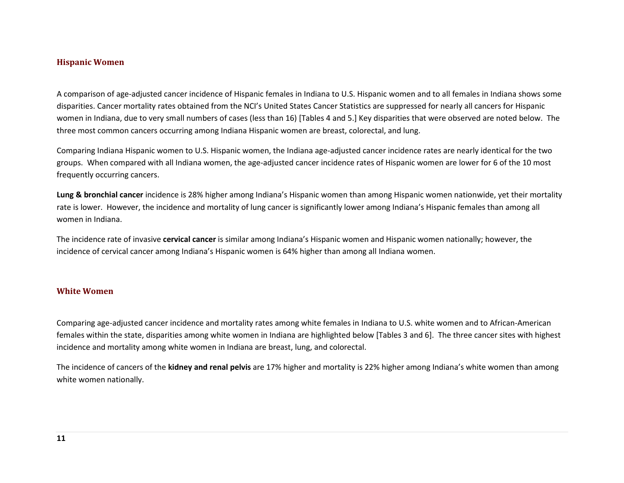#### <span id="page-15-0"></span>**Hispanic Women**

A comparison of age-adjusted cancer incidence of Hispanic females in Indiana to U.S. Hispanic women and to all females in Indiana shows some disparities. Cancer mortality rates obtained from the NCI's United States Cancer Statistics are suppressed for nearly all cancers for Hispanic women in Indiana, due to very small numbers of cases (less than 16) [Tables 4 and 5.] Key disparities that were observed are noted below. The three most common cancers occurring among Indiana Hispanic women are breast, colorectal, and lung.

Comparing Indiana Hispanic women to U.S. Hispanic women, the Indiana age-adjusted cancer incidence rates are nearly identical for the two groups. When compared with all Indiana women, the age-adjusted cancer incidence rates of Hispanic women are lower for 6 of the 10 most frequently occurring cancers.

**Lung & bronchial cancer** incidence is 28% higher among Indiana's Hispanic women than among Hispanic women nationwide, yet their mortality rate is lower. However, the incidence and mortality of lung cancer is significantly lower among Indiana's Hispanic females than among all women in Indiana.

The incidence rate of invasive **cervical cancer** is similar among Indiana's Hispanic women and Hispanic women nationally; however, the incidence of cervical cancer among Indiana's Hispanic women is 64% higher than among all Indiana women.

#### <span id="page-15-1"></span>**White Women**

Comparing age-adjusted cancer incidence and mortality rates among white females in Indiana to U.S. white women and to African-American females within the state, disparities among white women in Indiana are highlighted below [Tables 3 and 6]. The three cancer sites with highest incidence and mortality among white women in Indiana are breast, lung, and colorectal.

The incidence of cancers of the **kidney and renal pelvis** are 17% higher and mortality is 22% higher among Indiana's white women than among white women nationally.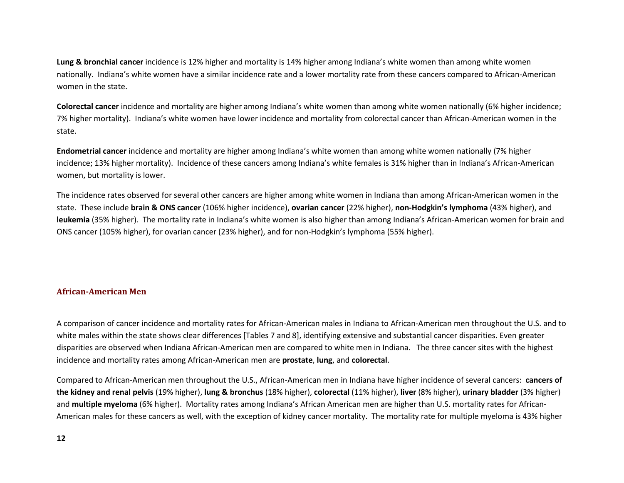**Lung & bronchial cancer** incidence is 12% higher and mortality is 14% higher among Indiana's white women than among white women nationally. Indiana's white women have a similar incidence rate and a lower mortality rate from these cancers compared to African-American women in the state.

**Colorectal cancer** incidence and mortality are higher among Indiana's white women than among white women nationally (6% higher incidence; 7% higher mortality). Indiana's white women have lower incidence and mortality from colorectal cancer than African-American women in the state.

**Endometrial cancer** incidence and mortality are higher among Indiana's white women than among white women nationally (7% higher incidence; 13% higher mortality). Incidence of these cancers among Indiana's white females is 31% higher than in Indiana's African-American women, but mortality is lower.

The incidence rates observed for several other cancers are higher among white women in Indiana than among African-American women in the state. These include **brain & ONS cancer** (106% higher incidence), **ovarian cancer** (22% higher), **non-Hodgkin's lymphoma** (43% higher), and **leukemia** (35% higher). The mortality rate in Indiana's white women is also higher than among Indiana's African-American women for brain and ONS cancer (105% higher), for ovarian cancer (23% higher), and for non-Hodgkin's lymphoma (55% higher).

## <span id="page-16-0"></span>**African-American Men**

A comparison of cancer incidence and mortality rates for African-American males in Indiana to African-American men throughout the U.S. and to white males within the state shows clear differences [Tables 7 and 8], identifying extensive and substantial cancer disparities. Even greater disparities are observed when Indiana African-American men are compared to white men in Indiana. The three cancer sites with the highest incidence and mortality rates among African-American men are **prostate**, **lung**, and **colorectal**.

Compared to African-American men throughout the U.S., African-American men in Indiana have higher incidence of several cancers: **cancers of the kidney and renal pelvis** (19% higher), **lung & bronchus** (18% higher), **colorectal** (11% higher), **liver** (8% higher), **urinary bladder** (3% higher) and **multiple myeloma** (6% higher). Mortality rates among Indiana's African American men are higher than U.S. mortality rates for African-American males for these cancers as well, with the exception of kidney cancer mortality. The mortality rate for multiple myeloma is 43% higher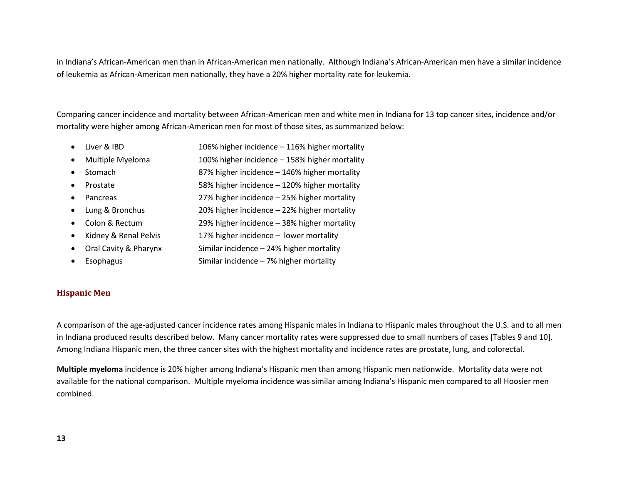in Indiana's African-American men than in African-American men nationally. Although Indiana's African-American men have a similar incidence of leukemia as African-American men nationally, they have a 20% higher mortality rate for leukemia.

Comparing cancer incidence and mortality between African-American men and white men in Indiana for 13 top cancer sites, incidence and/or mortality were higher among African-American men for most of those sites, as summarized below:

- Liver & IBD 106% higher incidence 116% higher mortality
- Multiple Myeloma 100% higher incidence 158% higher mortality
- Stomach 87% higher incidence 146% higher mortality
- Prostate 58% higher incidence 120% higher mortality
- Pancreas 27% higher incidence 25% higher mortality
- Lung & Bronchus 20% higher incidence 22% higher mortality
- Colon & Rectum 29% higher incidence 38% higher mortality
- Kidney & Renal Pelvis 17% higher incidence lower mortality
- Oral Cavity & Pharynx Similar incidence 24% higher mortality
- Esophagus Similar incidence 7% higher mortality

#### <span id="page-17-0"></span>**Hispanic Men**

A comparison of the age-adjusted cancer incidence rates among Hispanic males in Indiana to Hispanic males throughout the U.S. and to all men in Indiana produced results described below. Many cancer mortality rates were suppressed due to small numbers of cases [Tables 9 and 10]. Among Indiana Hispanic men, the three cancer sites with the highest mortality and incidence rates are prostate, lung, and colorectal.

**Multiple myeloma** incidence is 20% higher among Indiana's Hispanic men than among Hispanic men nationwide. Mortality data were not available for the national comparison. Multiple myeloma incidence was similar among Indiana's Hispanic men compared to all Hoosier men combined.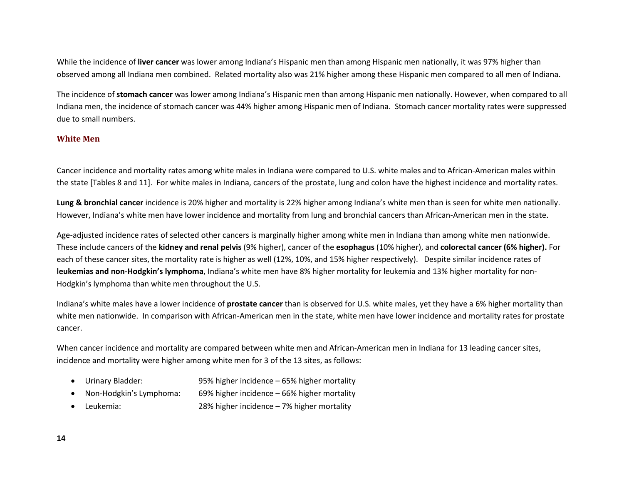While the incidence of **liver cancer** was lower among Indiana's Hispanic men than among Hispanic men nationally, it was 97% higher than observed among all Indiana men combined. Related mortality also was 21% higher among these Hispanic men compared to all men of Indiana.

The incidence of **stomach cancer** was lower among Indiana's Hispanic men than among Hispanic men nationally. However, when compared to all Indiana men, the incidence of stomach cancer was 44% higher among Hispanic men of Indiana. Stomach cancer mortality rates were suppressed due to small numbers.

#### <span id="page-18-0"></span>**White Men**

Cancer incidence and mortality rates among white males in Indiana were compared to U.S. white males and to African-American males within the state [Tables 8 and 11]. For white males in Indiana, cancers of the prostate, lung and colon have the highest incidence and mortality rates.

**Lung & bronchial cancer** incidence is 20% higher and mortality is 22% higher among Indiana's white men than is seen for white men nationally. However, Indiana's white men have lower incidence and mortality from lung and bronchial cancers than African-American men in the state.

Age-adjusted incidence rates of selected other cancers is marginally higher among white men in Indiana than among white men nationwide. These include cancers of the **kidney and renal pelvis** (9% higher), cancer of the **esophagus** (10% higher), and **colorectal cancer (6% higher).** For each of these cancer sites, the mortality rate is higher as well (12%, 10%, and 15% higher respectively). Despite similar incidence rates of **leukemias and non-Hodgkin's lymphoma**, Indiana's white men have 8% higher mortality for leukemia and 13% higher mortality for non-Hodgkin's lymphoma than white men throughout the U.S.

Indiana's white males have a lower incidence of **prostate cancer** than is observed for U.S. white males, yet they have a 6% higher mortality than white men nationwide. In comparison with African-American men in the state, white men have lower incidence and mortality rates for prostate cancer.

When cancer incidence and mortality are compared between white men and African-American men in Indiana for 13 leading cancer sites, incidence and mortality were higher among white men for 3 of the 13 sites, as follows:

- Urinary Bladder: 95% higher incidence 65% higher mortality
- Non-Hodgkin's Lymphoma: 69% higher incidence 66% higher mortality
- Leukemia: 28% higher incidence 7% higher mortality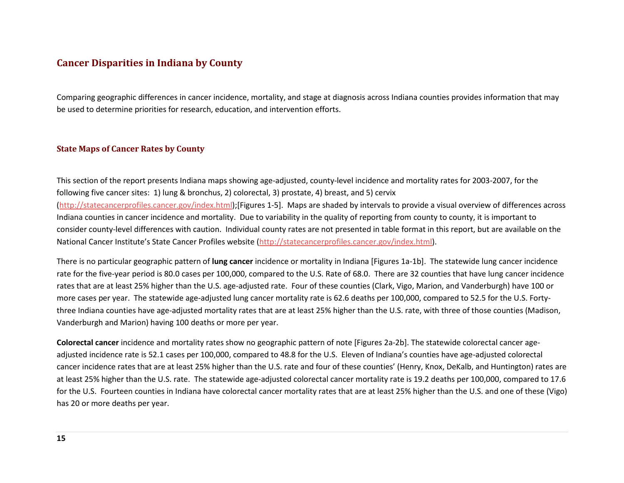## <span id="page-19-0"></span>**Cancer Disparities in Indiana by County**

Comparing geographic differences in cancer incidence, mortality, and stage at diagnosis across Indiana counties provides information that may be used to determine priorities for research, education, and intervention efforts.

#### <span id="page-19-1"></span>**State Maps of Cancer Rates by County**

This section of the report presents Indiana maps showing age-adjusted, county-level incidence and mortality rates for 2003-2007, for the following five cancer sites: 1) lung & bronchus, 2) colorectal, 3) prostate, 4) breast, and 5) cervix [\(http://statecancerprofiles.cancer.gov/index.html\)](http://statecancerprofiles.cancer.gov/index.html);[Figures 1-5]. Maps are shaded by intervals to provide a visual overview of differences across Indiana counties in cancer incidence and mortality. Due to variability in the quality of reporting from county to county, it is important to consider county-level differences with caution. Individual county rates are not presented in table format in this report, but are available on the National Cancer Institute's State Cancer Profiles website [\(http://statecancerprofiles.cancer.gov/index.html\)](http://statecancerprofiles.cancer.gov/index.html).

There is no particular geographic pattern of **lung cancer** incidence or mortality in Indiana [Figures 1a-1b]. The statewide lung cancer incidence rate for the five-year period is 80.0 cases per 100,000, compared to the U.S. Rate of 68.0. There are 32 counties that have lung cancer incidence rates that are at least 25% higher than the U.S. age-adjusted rate. Four of these counties (Clark, Vigo, Marion, and Vanderburgh) have 100 or more cases per year. The statewide age-adjusted lung cancer mortality rate is 62.6 deaths per 100,000, compared to 52.5 for the U.S. Fortythree Indiana counties have age-adjusted mortality rates that are at least 25% higher than the U.S. rate, with three of those counties (Madison, Vanderburgh and Marion) having 100 deaths or more per year.

**Colorectal cancer** incidence and mortality rates show no geographic pattern of note [Figures 2a-2b]. The statewide colorectal cancer ageadjusted incidence rate is 52.1 cases per 100,000, compared to 48.8 for the U.S. Eleven of Indiana's counties have age-adjusted colorectal cancer incidence rates that are at least 25% higher than the U.S. rate and four of these counties' (Henry, Knox, DeKalb, and Huntington) rates are at least 25% higher than the U.S. rate. The statewide age-adjusted colorectal cancer mortality rate is 19.2 deaths per 100,000, compared to 17.6 for the U.S. Fourteen counties in Indiana have colorectal cancer mortality rates that are at least 25% higher than the U.S. and one of these (Vigo) has 20 or more deaths per year.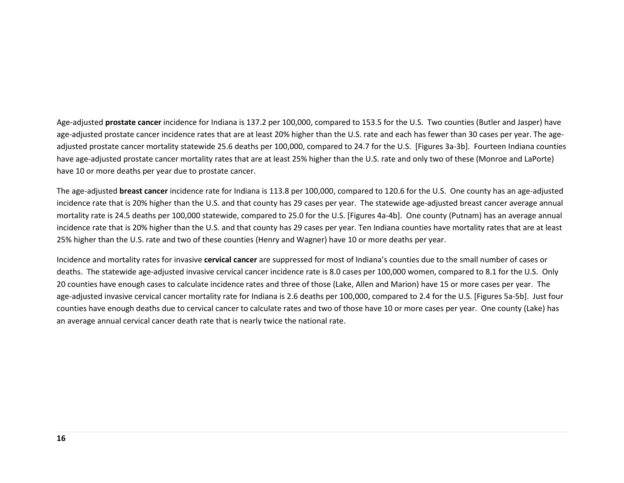Age-adjusted **prostate cancer** incidence for Indiana is 137.2 per 100,000, compared to 153.5 for the U.S. Two counties (Butler and Jasper) have age-adjusted prostate cancer incidence rates that are at least 20% higher than the U.S. rate and each has fewer than 30 cases per year. The ageadjusted prostate cancer mortality statewide 25.6 deaths per 100,000, compared to 24.7 for the U.S. [Figures 3a-3b]. Fourteen Indiana counties have age-adjusted prostate cancer mortality rates that are at least 25% higher than the U.S. rate and only two of these (Monroe and LaPorte) have 10 or more deaths per year due to prostate cancer.

The age-adjusted **breast cancer** incidence rate for Indiana is 113.8 per 100,000, compared to 120.6 for the U.S. One county has an age-adjusted incidence rate that is 20% higher than the U.S. and that county has 29 cases per year. The statewide age-adjusted breast cancer average annual mortality rate is 24.5 deaths per 100,000 statewide, compared to 25.0 for the U.S. [Figures 4a-4b]. One county (Putnam) has an average annual incidence rate that is 20% higher than the U.S. and that county has 29 cases per year. Ten Indiana counties have mortality rates that are at least 25% higher than the U.S. rate and two of these counties (Henry and Wagner) have 10 or more deaths per year.

Incidence and mortality rates for invasive **cervical cancer** are suppressed for most of Indiana's counties due to the small number of cases or deaths. The statewide age-adjusted invasive cervical cancer incidence rate is 8.0 cases per 100,000 women, compared to 8.1 for the U.S. Only 20 counties have enough cases to calculate incidence rates and three of those (Lake, Allen and Marion) have 15 or more cases per year. The age-adjusted invasive cervical cancer mortality rate for Indiana is 2.6 deaths per 100,000, compared to 2.4 for the U.S. [Figures 5a-5b]. Just four counties have enough deaths due to cervical cancer to calculate rates and two of those have 10 or more cases per year. One county (Lake) has an average annual cervical cancer death rate that is nearly twice the national rate.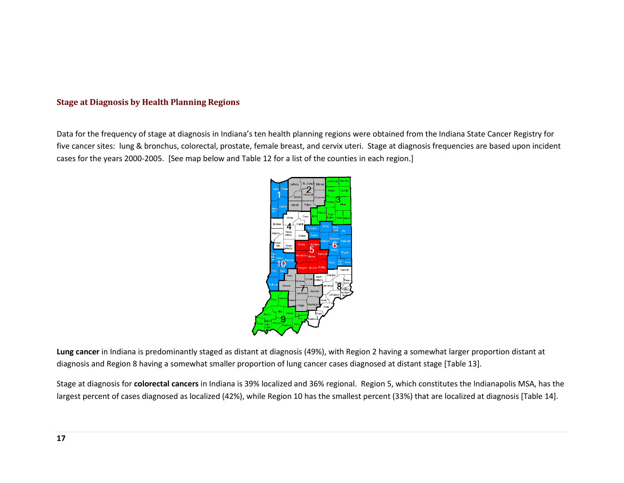#### <span id="page-21-0"></span>**Stage at Diagnosis by Health Planning Regions**

Data for the frequency of stage at diagnosis in Indiana's ten health planning regions were obtained from the Indiana State Cancer Registry for five cancer sites: lung & bronchus, colorectal, prostate, female breast, and cervix uteri. Stage at diagnosis frequencies are based upon incident cases for the years 2000-2005. [See map below and Table 12 for a list of the counties in each region.]



**Lung cancer** in Indiana is predominantly staged as distant at diagnosis (49%), with Region 2 having a somewhat larger proportion distant at diagnosis and Region 8 having a somewhat smaller proportion of lung cancer cases diagnosed at distant stage [Table 13].

Stage at diagnosis for **colorectal cancers** in Indiana is 39% localized and 36% regional. Region 5, which constitutes the Indianapolis MSA, has the largest percent of cases diagnosed as localized (42%), while Region 10 has the smallest percent (33%) that are localized at diagnosis [Table 14].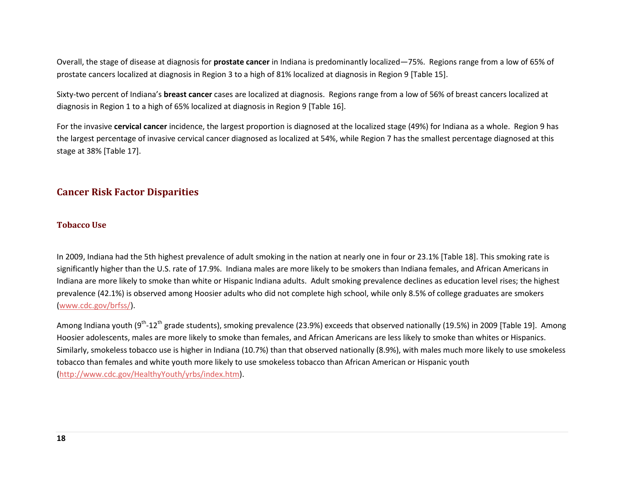Overall, the stage of disease at diagnosis for **prostate cancer** in Indiana is predominantly localized—75%. Regions range from a low of 65% of prostate cancers localized at diagnosis in Region 3 to a high of 81% localized at diagnosis in Region 9 [Table 15].

Sixty-two percent of Indiana's **breast cancer** cases are localized at diagnosis. Regions range from a low of 56% of breast cancers localized at diagnosis in Region 1 to a high of 65% localized at diagnosis in Region 9 [Table 16].

For the invasive **cervical cancer** incidence, the largest proportion is diagnosed at the localized stage (49%) for Indiana as a whole. Region 9 has the largest percentage of invasive cervical cancer diagnosed as localized at 54%, while Region 7 has the smallest percentage diagnosed at this stage at 38% [Table 17].

## <span id="page-22-0"></span>**Cancer Risk Factor Disparities**

#### <span id="page-22-1"></span>**Tobacco Use**

In 2009, Indiana had the 5th highest prevalence of adult smoking in the nation at nearly one in four or 23.1% [Table 18]. This smoking rate is significantly higher than the U.S. rate of 17.9%. Indiana males are more likely to be smokers than Indiana females, and African Americans in Indiana are more likely to smoke than white or Hispanic Indiana adults. Adult smoking prevalence declines as education level rises; the highest prevalence (42.1%) is observed among Hoosier adults who did not complete high school, while only 8.5% of college graduates are smokers [\(www.cdc.gov/brfss/\)](http://www.cdc.gov/brfss/).

Among Indiana youth (9<sup>th</sup>-12<sup>th</sup> grade students), smoking prevalence (23.9%) exceeds that observed nationally (19.5%) in 2009 [Table 19]. Among Hoosier adolescents, males are more likely to smoke than females, and African Americans are less likely to smoke than whites or Hispanics. Similarly, smokeless tobacco use is higher in Indiana (10.7%) than that observed nationally (8.9%), with males much more likely to use smokeless tobacco than females and white youth more likely to use smokeless tobacco than African American or Hispanic youth [\(http://www.cdc.gov/HealthyYouth/yrbs/index.htm\)](http://www.cdc.gov/HealthyYouth/yrbs/index.htm).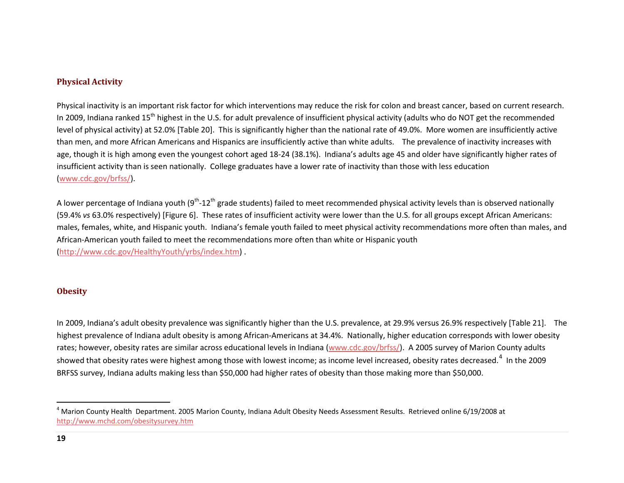#### <span id="page-23-2"></span><span id="page-23-0"></span>**Physical Activity**

Physical inactivity is an important risk factor for which interventions may reduce the risk for colon and breast cancer, based on current research. In 2009, Indiana ranked 15<sup>th</sup> highest in the U.S. for adult prevalence of insufficient physical activity (adults who do NOT get the recommended level of physical activity) at 52.0% [Table 20]. This is significantly higher than the national rate of 49.0%. More women are insufficiently active than men, and more African Americans and Hispanics are insufficiently active than white adults. The prevalence of inactivity increases with age, though it is high among even the youngest cohort aged 18-24 (38.1%). Indiana's adults age 45 and older have significantly higher rates of insufficient activity than is seen nationally. College graduates have a lower rate of inactivity than those with less education [\(www.cdc.gov/brfss/\)](http://www.cdc.gov/brfss/).

A lower percentage of Indiana youth (9<sup>th</sup>-12<sup>th</sup> grade students) failed to meet recommended physical activity levels than is observed nationally (59.4% *vs* 63.0% respectively) [Figure 6]. These rates of insufficient activity were lower than the U.S. for all groups except African Americans: males, females, white, and Hispanic youth. Indiana's female youth failed to meet physical activity recommendations more often than males, and African-American youth failed to meet the recommendations more often than white or Hispanic youth [\(http://www.cdc.gov/HealthyYouth/yrbs/index.htm\)](http://www.cdc.gov/HealthyYouth/yrbs/index.htm) .

#### <span id="page-23-1"></span>**Obesity**

In 2009, Indiana's adult obesity prevalence was significantly higher than the U.S. prevalence, at 29.9% versus 26.9% respectively [Table 21]. The highest prevalence of Indiana adult obesity is among African-Americans at 34.4%. Nationally, higher education corresponds with lower obesity rates; however, obesity rates are similar across educational levels in Indiana [\(www.cdc.gov/brfss/\)](http://www.cdc.gov/brfss/). A 2005 survey of Marion County adults showed that obesity rates were highest among those with lowest income; as income level increased, obesity rates decreased.<sup>[4](#page-23-2)</sup> In the 2009 BRFSS survey, Indiana adults making less than \$50,000 had higher rates of obesity than those making more than \$50,000.

 <sup>4</sup> Marion County Health Department. 2005 Marion County, Indiana Adult Obesity Needs Assessment Results. Retrieved online 6/19/2008 at <http://www.mchd.com/obesitysurvey.htm>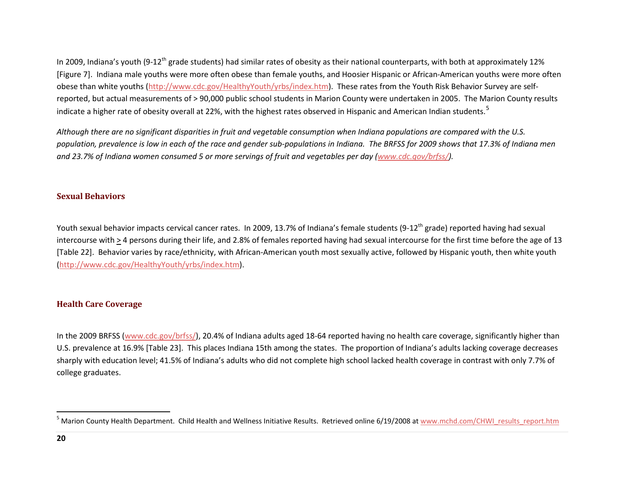<span id="page-24-2"></span>In 2009, Indiana's youth (9-12<sup>th</sup> grade students) had similar rates of obesity as their national counterparts, with both at approximately 12% [Figure 7]. Indiana male youths were more often obese than female youths, and Hoosier Hispanic or African-American youths were more often obese than white youths [\(http://www.cdc.gov/HealthyYouth/yrbs/index.htm\)](http://www.cdc.gov/HealthyYouth/yrbs/index.htm). These rates from the Youth Risk Behavior Survey are selfreported, but actual measurements of > 90,000 public school students in Marion County were undertaken in 2005. The Marion County results indicate a higher rate of obesity overall at 22%, with the highest rates observed in Hispanic and American Indian students.<sup>[5](#page-24-2)</sup>

*Although there are no significant disparities in fruit and vegetable consumption when Indiana populations are compared with the U.S. population, prevalence is low in each of the race and gender sub-populations in Indiana. The BRFSS for 2009 shows that 17.3% of Indiana men*  and 23.7% of Indiana women consumed 5 or more servings of fruit and vegetables per day [\(www.cdc.gov/brfss/\)](http://www.cdc.gov/brfss/).

#### <span id="page-24-0"></span>**Sexual Behaviors**

Youth sexual behavior impacts cervical cancer rates. In 2009, 13.7% of Indiana's female students (9-12<sup>th</sup> grade) reported having had sexual intercourse with > 4 persons during their life, and 2.8% of females reported having had sexual intercourse for the first time before the age of 13 [Table 22]. Behavior varies by race/ethnicity, with African-American youth most sexually active, followed by Hispanic youth, then white youth [\(http://www.cdc.gov/HealthyYouth/yrbs/index.htm\)](http://www.cdc.gov/HealthyYouth/yrbs/index.htm).

## <span id="page-24-1"></span>**Health Care Coverage**

In the 2009 BRFSS [\(www.cdc.gov/brfss/\)](http://www.cdc.gov/brfss/), 20.4% of Indiana adults aged 18-64 reported having no health care coverage, significantly higher than U.S. prevalence at 16.9% [Table 23]. This places Indiana 15th among the states. The proportion of Indiana's adults lacking coverage decreases sharply with education level; 41.5% of Indiana's adults who did not complete high school lacked health coverage in contrast with only 7.7% of college graduates.

 $^5$  Marion County Health Department. Child Health and Wellness Initiative Results. Retrieved online 6/19/2008 a[t www.mchd.com/CHWI\\_results\\_report.htm](http://www.mchd.com/CHWI_results_report.htm)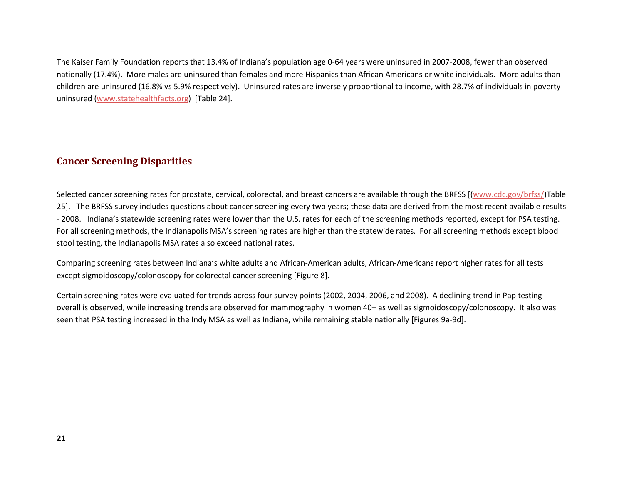The Kaiser Family Foundation reports that 13.4% of Indiana's population age 0-64 years were uninsured in 2007-2008, fewer than observed nationally (17.4%). More males are uninsured than females and more Hispanics than African Americans or white individuals. More adults than children are uninsured (16.8% vs 5.9% respectively). Uninsured rates are inversely proportional to income, with 28.7% of individuals in poverty uninsured [\(www.statehealthfacts.org\)](http://www.statehealthfacts.org/) [Table 24].

## <span id="page-25-0"></span>**Cancer Screening Disparities**

Selected cancer screening rates for prostate, cervical, colorectal, and breast cancers are available through the BRFSS [[\(www.cdc.gov/brfss/\)](http://www.cdc.gov/brfss/)Table 25]. The BRFSS survey includes questions about cancer screening every two years; these data are derived from the most recent available results - 2008. Indiana's statewide screening rates were lower than the U.S. rates for each of the screening methods reported, except for PSA testing. For all screening methods, the Indianapolis MSA's screening rates are higher than the statewide rates. For all screening methods except blood stool testing, the Indianapolis MSA rates also exceed national rates.

Comparing screening rates between Indiana's white adults and African-American adults, African-Americans report higher rates for all tests except sigmoidoscopy/colonoscopy for colorectal cancer screening [Figure 8].

Certain screening rates were evaluated for trends across four survey points (2002, 2004, 2006, and 2008). A declining trend in Pap testing overall is observed, while increasing trends are observed for mammography in women 40+ as well as sigmoidoscopy/colonoscopy. It also was seen that PSA testing increased in the Indy MSA as well as Indiana, while remaining stable nationally [Figures 9a-9d].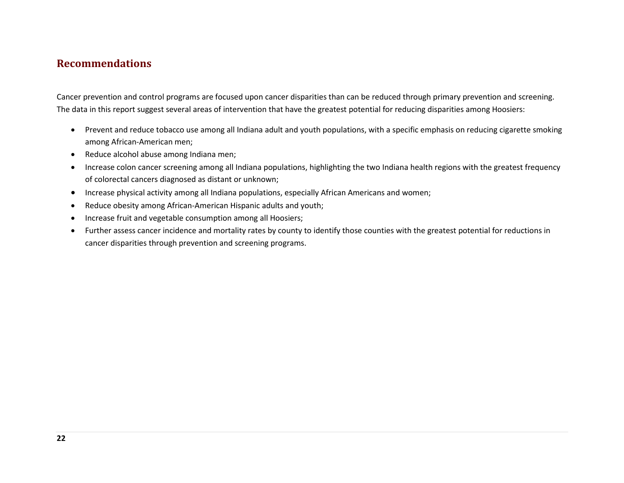## <span id="page-26-0"></span>**Recommendations**

Cancer prevention and control programs are focused upon cancer disparities than can be reduced through primary prevention and screening. The data in this report suggest several areas of intervention that have the greatest potential for reducing disparities among Hoosiers:

- Prevent and reduce tobacco use among all Indiana adult and youth populations, with a specific emphasis on reducing cigarette smoking among African-American men;
- Reduce alcohol abuse among Indiana men;
- Increase colon cancer screening among all Indiana populations, highlighting the two Indiana health regions with the greatest frequency of colorectal cancers diagnosed as distant or unknown;
- Increase physical activity among all Indiana populations, especially African Americans and women;
- Reduce obesity among African-American Hispanic adults and youth;
- Increase fruit and vegetable consumption among all Hoosiers;
- Further assess cancer incidence and mortality rates by county to identify those counties with the greatest potential for reductions in cancer disparities through prevention and screening programs.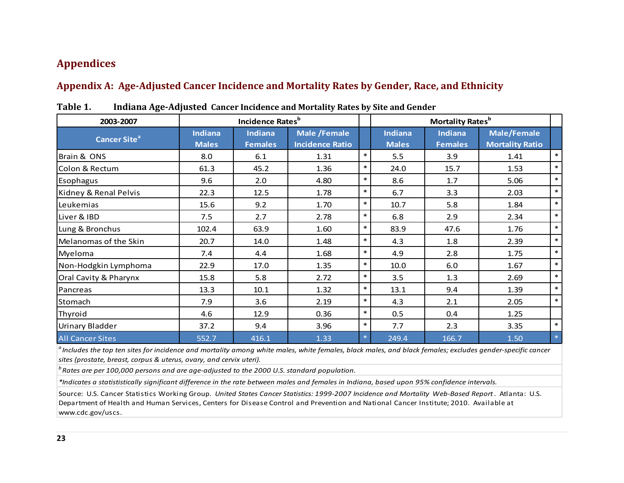## <span id="page-27-0"></span>**Appendices**

## <span id="page-27-1"></span>**Appendix A: Age-Adjusted Cancer Incidence and Mortality Rates by Gender, Race, and Ethnicity**

| 2003-2007                      |                                | <b>Incidence Rates</b> b         |                                               |        |                                | Mortality Rates <sup>b</sup>     |                                              |        |
|--------------------------------|--------------------------------|----------------------------------|-----------------------------------------------|--------|--------------------------------|----------------------------------|----------------------------------------------|--------|
| <b>Cancer Site<sup>a</sup></b> | <b>Indiana</b><br><b>Males</b> | <b>Indiana</b><br><b>Females</b> | <b>Male /Female</b><br><b>Incidence Ratio</b> |        | <b>Indiana</b><br><b>Males</b> | <b>Indiana</b><br><b>Females</b> | <b>Male/Female</b><br><b>Mortality Ratio</b> |        |
| Brain & ONS                    | 8.0                            | 6.1                              | 1.31                                          | $\ast$ | 5.5                            | 3.9                              | 1.41                                         | $\ast$ |
| Colon & Rectum                 | 61.3                           | 45.2                             | 1.36                                          | $\ast$ | 24.0                           | 15.7                             | 1.53                                         | $\ast$ |
| Esophagus                      | 9.6                            | 2.0                              | 4.80                                          | $\ast$ | 8.6                            | 1.7                              | 5.06                                         | $\ast$ |
| Kidney & Renal Pelvis          | 22.3                           | 12.5                             | 1.78                                          | $\ast$ | 6.7                            | 3.3                              | 2.03                                         | $\ast$ |
| Leukemias                      | 15.6                           | 9.2                              | 1.70                                          | $\ast$ | 10.7                           | 5.8                              | 1.84                                         | $\ast$ |
| Liver & IBD                    | 7.5                            | 2.7                              | 2.78                                          | $\ast$ | 6.8                            | 2.9                              | 2.34                                         | $\ast$ |
| Lung & Bronchus                | 102.4                          | 63.9                             | 1.60                                          | $\ast$ | 83.9                           | 47.6                             | 1.76                                         | $\ast$ |
| Melanomas of the Skin          | 20.7                           | 14.0                             | 1.48                                          | $\ast$ | 4.3                            | 1.8                              | 2.39                                         | $\ast$ |
| Myeloma                        | 7.4                            | 4.4                              | 1.68                                          | $\ast$ | 4.9                            | 2.8                              | 1.75                                         | $\ast$ |
| Non-Hodgkin Lymphoma           | 22.9                           | 17.0                             | 1.35                                          | $\ast$ | 10.0                           | 6.0                              | 1.67                                         | $\ast$ |
| Oral Cavity & Pharynx          | 15.8                           | 5.8                              | 2.72                                          | $\ast$ | 3.5                            | 1.3                              | 2.69                                         | $\ast$ |
| Pancreas                       | 13.3                           | 10.1                             | 1.32                                          | $\ast$ | 13.1                           | 9.4                              | 1.39                                         | $\ast$ |
| Stomach                        | 7.9                            | 3.6                              | 2.19                                          | $\ast$ | 4.3                            | 2.1                              | 2.05                                         | $\ast$ |
| Thyroid                        | 4.6                            | 12.9                             | 0.36                                          | $\ast$ | 0.5                            | 0.4                              | 1.25                                         |        |
| <b>Urinary Bladder</b>         | 37.2                           | 9.4                              | 3.96                                          | $\ast$ | 7.7                            | 2.3                              | 3.35                                         | $\ast$ |
| <b>All Cancer Sites</b>        | 552.7                          | 416.1                            | 1.33                                          | $*$    | 249.4                          | 166.7                            | 1.50                                         | $\ast$ |

<span id="page-27-2"></span>**Table 1. Indiana Age-Adjusted Cancer Incidence and Mortality Rates by Site and Gender**

<sup>a</sup> Includes the top ten sites for incidence and mortality among white males, white females, black males, and black females; excludes gender-specific cancer *sites (prostate, breast, corpus & uterus, ovary, and cervix uteri).*

<sup>b</sup> Rates are per 100,000 persons and are age-adjusted to the 2000 U.S. standard population.

*\*Indicates a statististically significant difference in the rate between males and females in Indiana, based upon 95% confidence intervals.*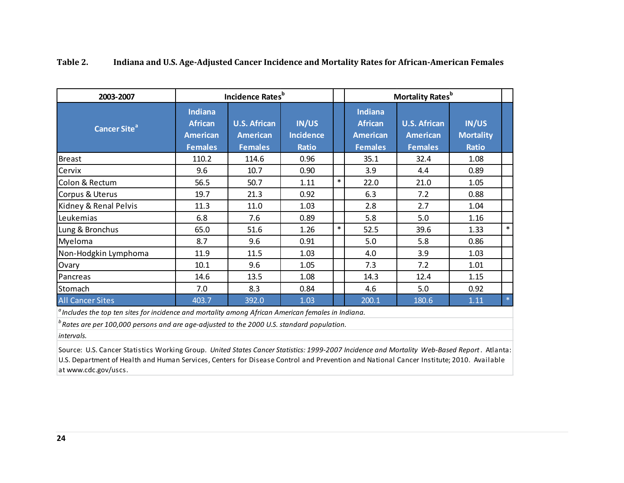| 2003-2007                                                                                                                                        |                                                                       | Incidence Rates <sup>b</sup>                             |                                    |        |                                                                | <b>Mortality Rates</b> <sup>b</sup>                      |                                           |        |  |
|--------------------------------------------------------------------------------------------------------------------------------------------------|-----------------------------------------------------------------------|----------------------------------------------------------|------------------------------------|--------|----------------------------------------------------------------|----------------------------------------------------------|-------------------------------------------|--------|--|
| <b>Cancer Site<sup>a</sup></b>                                                                                                                   | <b>Indiana</b><br><b>African</b><br><b>American</b><br><b>Females</b> | <b>U.S. African</b><br><b>American</b><br><b>Females</b> | IN/US<br>Incidence<br><b>Ratio</b> |        | Indiana<br><b>African</b><br><b>American</b><br><b>Females</b> | <b>U.S. African</b><br><b>American</b><br><b>Females</b> | IN/US<br><b>Mortality</b><br><b>Ratio</b> |        |  |
| Breast                                                                                                                                           | 110.2                                                                 | 114.6                                                    | 0.96                               |        | 35.1                                                           | 32.4                                                     | 1.08                                      |        |  |
| Cervix                                                                                                                                           | 9.6                                                                   | 10.7                                                     | 0.90                               |        | 3.9                                                            | 4.4                                                      | 0.89                                      |        |  |
| Colon & Rectum                                                                                                                                   | 56.5                                                                  | 50.7                                                     | 1.11                               | $\ast$ | 22.0                                                           | 21.0                                                     | 1.05                                      |        |  |
| Corpus & Uterus                                                                                                                                  | 19.7                                                                  | 21.3                                                     | 0.92                               |        | 6.3                                                            | 7.2                                                      | 0.88                                      |        |  |
| Kidney & Renal Pelvis                                                                                                                            | 11.3                                                                  | 11.0                                                     | 1.03                               |        | 2.8                                                            | 2.7                                                      | 1.04                                      |        |  |
| Leukemias                                                                                                                                        | 6.8                                                                   | 7.6                                                      | 0.89                               |        | 5.8                                                            | 5.0                                                      | 1.16                                      |        |  |
| Lung & Bronchus                                                                                                                                  | 65.0                                                                  | 51.6                                                     | 1.26                               | $\ast$ | 52.5                                                           | 39.6                                                     | 1.33                                      | $\ast$ |  |
| Myeloma                                                                                                                                          | 8.7                                                                   | 9.6                                                      | 0.91                               |        | 5.0                                                            | 5.8                                                      | 0.86                                      |        |  |
| Non-Hodgkin Lymphoma                                                                                                                             | 11.9                                                                  | 11.5                                                     | 1.03                               |        | 4.0                                                            | 3.9                                                      | 1.03                                      |        |  |
| Ovary                                                                                                                                            | 10.1                                                                  | 9.6                                                      | 1.05                               |        | 7.3                                                            | 7.2                                                      | 1.01                                      |        |  |
| Pancreas                                                                                                                                         | 14.6                                                                  | 13.5                                                     | 1.08                               |        | 14.3                                                           | 12.4                                                     | 1.15                                      |        |  |
| Stomach                                                                                                                                          | 7.0                                                                   | 8.3                                                      | 0.84                               |        | 4.6                                                            | 5.0                                                      | 0.92                                      |        |  |
| <b>All Cancer Sites</b><br>and the second contract of the contract of the contract of the contract of the contract of the second of the distance | 403.7                                                                 | 392.0                                                    | 1.03                               |        | 200.1                                                          | 180.6                                                    | 1.11                                      | $*$    |  |

## <span id="page-28-0"></span>**Table 2. Indiana and U.S. Age-Adjusted Cancer Incidence and Mortality Rates for African-American Females**

*a Includes the top ten sites for incidence and mortality among African American females in Indiana.*

 $^b$  Rates are per 100,000 persons and are age-adjusted to the 2000 U.S. standard population.

*intervals.*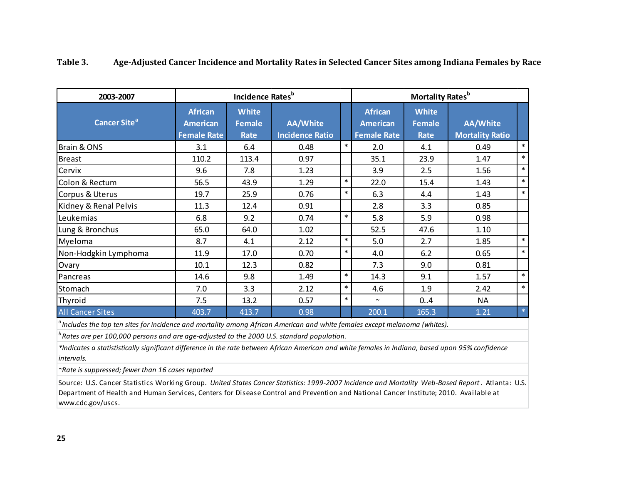| 2003-2007                |                                                         | Incidence Rates <sup>b</sup>                 |                                           |        | Mortality Rates <sup>b</sup>                            |                                              |                                           |        |  |
|--------------------------|---------------------------------------------------------|----------------------------------------------|-------------------------------------------|--------|---------------------------------------------------------|----------------------------------------------|-------------------------------------------|--------|--|
| Cancer Site <sup>a</sup> | <b>African</b><br><b>American</b><br><b>Female Rate</b> | <b>White</b><br><b>Female</b><br><b>Rate</b> | <b>AA/White</b><br><b>Incidence Ratio</b> |        | <b>African</b><br><b>American</b><br><b>Female Rate</b> | <b>White</b><br><b>Female</b><br><b>Rate</b> | <b>AA/White</b><br><b>Mortality Ratio</b> |        |  |
| Brain & ONS              | 3.1                                                     | 6.4                                          | 0.48                                      | $\ast$ | 2.0                                                     | 4.1                                          | 0.49                                      | $\ast$ |  |
| <b>Breast</b>            | 110.2                                                   | 113.4                                        | 0.97                                      |        | 35.1                                                    | 23.9                                         | 1.47                                      | $\ast$ |  |
| Cervix                   | 9.6                                                     | 7.8                                          | 1.23                                      |        | 3.9                                                     | 2.5                                          | 1.56                                      | $\ast$ |  |
| Colon & Rectum           | 56.5                                                    | 43.9                                         | 1.29                                      | $\ast$ | 22.0                                                    | 15.4                                         | 1.43                                      | $\ast$ |  |
| Corpus & Uterus          | 19.7                                                    | 25.9                                         | 0.76                                      | $\ast$ | 6.3                                                     | 4.4                                          | 1.43                                      | $\ast$ |  |
| Kidney & Renal Pelvis    | 11.3                                                    | 12.4                                         | 0.91                                      |        | 2.8                                                     | 3.3                                          | 0.85                                      |        |  |
| Leukemias                | 6.8                                                     | 9.2                                          | 0.74                                      | $\ast$ | 5.8                                                     | 5.9                                          | 0.98                                      |        |  |
| Lung & Bronchus          | 65.0                                                    | 64.0                                         | 1.02                                      |        | 52.5                                                    | 47.6                                         | 1.10                                      |        |  |
| Myeloma                  | 8.7                                                     | 4.1                                          | 2.12                                      | $\ast$ | 5.0                                                     | 2.7                                          | 1.85                                      | $\ast$ |  |
| Non-Hodgkin Lymphoma     | 11.9                                                    | 17.0                                         | 0.70                                      | $\ast$ | 4.0                                                     | 6.2                                          | 0.65                                      | $\ast$ |  |
| Ovary                    | 10.1                                                    | 12.3                                         | 0.82                                      |        | 7.3                                                     | 9.0                                          | 0.81                                      |        |  |
| Pancreas                 | 14.6                                                    | 9.8                                          | 1.49                                      | $\ast$ | 14.3                                                    | 9.1                                          | 1.57                                      | $\ast$ |  |
| Stomach                  | 7.0                                                     | 3.3                                          | 2.12                                      | $\ast$ | 4.6                                                     | 1.9                                          | 2.42                                      | $\ast$ |  |
| Thyroid                  | 7.5                                                     | 13.2                                         | 0.57                                      | $\ast$ | $\sim$                                                  | 0.4                                          | <b>NA</b>                                 |        |  |
| <b>All Cancer Sites</b>  | 403.7                                                   | 413.7                                        | 0.98                                      |        | 200.1                                                   | 165.3                                        | 1.21                                      | $\ast$ |  |

## <span id="page-29-0"></span>**Table 3. Age-Adjusted Cancer Incidence and Mortality Rates in Selected Cancer Sites among Indiana Females by Race**

*a Includes the top ten sites for incidence and mortality among African American and white females except melanoma (whites).*

<sup>*b*</sup> Rates are per 100,000 persons and are age-adjusted to the 2000 U.S. standard population.

*\*Indicates a statististically significant difference in the rate between African American and white females in Indiana, based upon 95% confidence intervals.*

*~Rate is suppressed; fewer than 16 cases reported*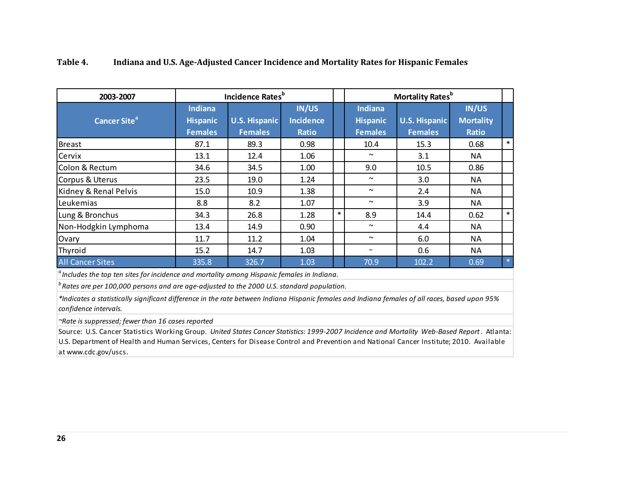| 2003-2007                      |                 | Incidence Rates <sup>b</sup> |                  |        |                 | <b>Mortality Rates</b> <sup>b</sup> |                  |        |  |
|--------------------------------|-----------------|------------------------------|------------------|--------|-----------------|-------------------------------------|------------------|--------|--|
|                                | <b>Indiana</b>  |                              | <b>IN/US</b>     |        | <b>Indiana</b>  |                                     | IN/US            |        |  |
| <b>Cancer Site<sup>a</sup></b> | <b>Hispanic</b> | <b>U.S. Hispanic</b>         | <b>Incidence</b> |        | <b>Hispanic</b> | <b>U.S. Hispanic</b>                | <b>Mortality</b> |        |  |
|                                | <b>Females</b>  | <b>Females</b>               | <b>Ratio</b>     |        | <b>Females</b>  | <b>Females</b>                      | <b>Ratio</b>     |        |  |
| Breast                         | 87.1            | 89.3                         | 0.98             |        | 10.4            | 15.3                                | 0.68             | $\ast$ |  |
| Cervix                         | 13.1            | 12.4                         | 1.06             |        | $\sim$          | 3.1                                 | NA               |        |  |
| Colon & Rectum                 | 34.6            | 34.5                         | 1.00             |        | 9.0             | 10.5                                | 0.86             |        |  |
| Corpus & Uterus                | 23.5            | 19.0                         | 1.24             |        | $\sim$          | 3.0                                 | <b>NA</b>        |        |  |
| Kidney & Renal Pelvis          | 15.0            | 10.9                         | 1.38             |        | $\sim$          | 2.4                                 | <b>NA</b>        |        |  |
| Leukemias                      | 8.8             | 8.2                          | 1.07             |        | $\sim$          | 3.9                                 | <b>NA</b>        |        |  |
| Lung & Bronchus                | 34.3            | 26.8                         | 1.28             | $\ast$ | 8.9             | 14.4                                | 0.62             | $\ast$ |  |
| Non-Hodgkin Lymphoma           | 13.4            | 14.9                         | 0.90             |        | $\sim$          | 4.4                                 | NA               |        |  |
| Ovary                          | 11.7            | 11.2                         | 1.04             |        | $\sim$          | 6.0                                 | <b>NA</b>        |        |  |
| Thyroid                        | 15.2            | 14.7                         | 1.03             |        | $\sim$          | 0.6                                 | <b>NA</b>        |        |  |
| <b>All Cancer Sites</b>        | 335.8           | 326.7                        | 1.03             |        | 70.9            | 102.2                               | 0.69             | $\ast$ |  |

## <span id="page-30-0"></span>**Table 4. Indiana and U.S. Age-Adjusted Cancer Incidence and Mortality Rates for Hispanic Females**

*a Includes the top ten sites for incidence and mortality among Hispanic females in Indiana.*

*b Rates are per 100,000 persons and are age-adjusted to the 2000 U.S. standard population.*

*\*Indicates a statistically significant difference in the rate between Indiana Hispanic females and Indiana females of all races, based upon 95% confidence intervals.*

*~Rate is suppressed; fewer than 16 cases reported*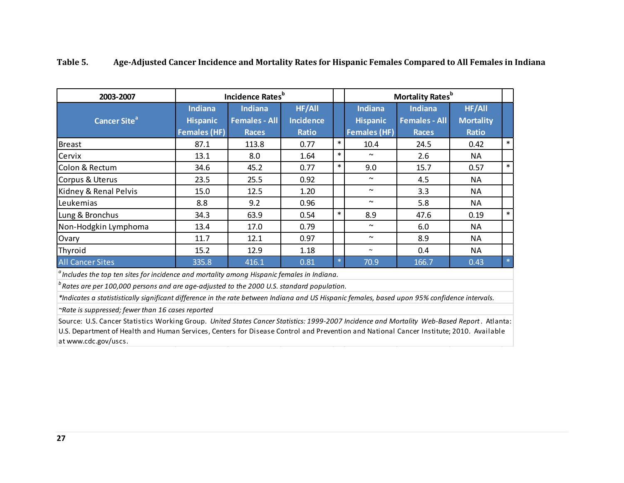| 2003-2007                                                                                          |                                   | <b>Incidence Rates</b> <sup>b</sup>    |                            |        | <b>Mortality Rates</b> <sup>b</sup> |                                        |                                   |        |
|----------------------------------------------------------------------------------------------------|-----------------------------------|----------------------------------------|----------------------------|--------|-------------------------------------|----------------------------------------|-----------------------------------|--------|
| Cancer Site <sup>al</sup>                                                                          | <b>Indiana</b><br><b>Hispanic</b> | <b>Indiana</b><br><b>Females - All</b> | HF/All<br><b>Incidence</b> |        | <b>Indiana</b><br><b>Hispanic</b>   | <b>Indiana</b><br><b>Females - All</b> | <b>HF/All</b><br><b>Mortality</b> |        |
|                                                                                                    | <b>Females (HF)</b>               | <b>Races</b>                           | <b>Ratio</b>               |        | <b>Females (HF)</b>                 | <b>Races</b>                           | <b>Ratio</b>                      |        |
| Breast                                                                                             | 87.1                              | 113.8                                  | 0.77                       | $\ast$ | 10.4                                | 24.5                                   | 0.42                              | $\ast$ |
| Cervix                                                                                             | 13.1                              | 8.0                                    | 1.64                       | $\ast$ | $\sim$                              | $2.6\,$                                | NA                                |        |
| Colon & Rectum                                                                                     | 34.6                              | 45.2                                   | 0.77                       | $\ast$ | 9.0                                 | 15.7                                   | 0.57                              | $\ast$ |
| Corpus & Uterus                                                                                    | 23.5                              | 25.5                                   | 0.92                       |        | $\tilde{\phantom{a}}$               | 4.5                                    | NA                                |        |
| Kidney & Renal Pelvis                                                                              | 15.0                              | 12.5                                   | 1.20                       |        | $\sim$                              | 3.3                                    | NA                                |        |
| Leukemias                                                                                          | 8.8                               | 9.2                                    | 0.96                       |        | $\tilde{\phantom{a}}$               | 5.8                                    | <b>NA</b>                         |        |
| Lung & Bronchus                                                                                    | 34.3                              | 63.9                                   | 0.54                       | $\ast$ | 8.9                                 | 47.6                                   | 0.19                              | $\ast$ |
| Non-Hodgkin Lymphoma                                                                               | 13.4                              | 17.0                                   | 0.79                       |        | $\sim$                              | 6.0                                    | NA                                |        |
| Ovary                                                                                              | 11.7                              | 12.1                                   | 0.97                       |        | $\sim$                              | 8.9                                    | <b>NA</b>                         |        |
| Thyroid                                                                                            | 15.2                              | 12.9                                   | 1.18                       |        | $\sim$                              | 0.4                                    | NA                                |        |
| <b>All Cancer Sites</b>                                                                            | 335.8                             | 416.1                                  | 0.81                       | $\ast$ | 70.9                                | 166.7                                  | 0.43                              | $\ast$ |
| $\alpha$ Includes the top ten sites for incidence and mortality among Hispanic females in Indiana. |                                   |                                        |                            |        |                                     |                                        |                                   |        |

## <span id="page-31-0"></span>**Table 5. Age-Adjusted Cancer Incidence and Mortality Rates for Hispanic Females Compared to All Females in Indiana**

*b* Rates are per 100,000 persons and are age-adjusted to the 2000 U.S. standard population.

*\*Indicates a statististically significant difference in the rate between Indiana and US Hispanic females, based upon 95% confidence intervals.*

*~Rate is suppressed; fewer than 16 cases reported*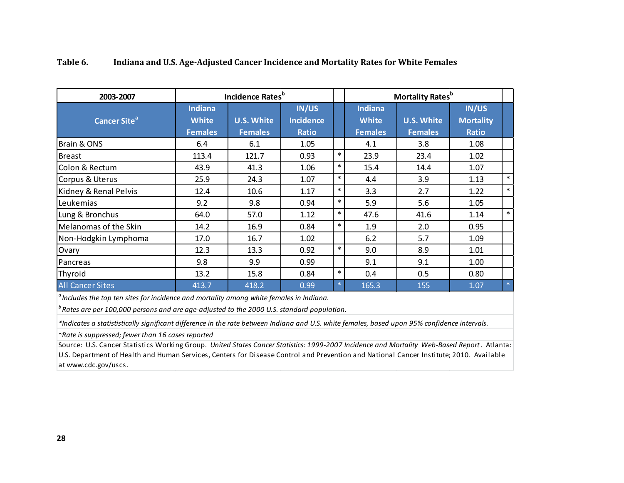| 2003-2007                                                                                                                                                                                                                                                                                                                                                                                                       |                                                                                                                                                                                                                                                                                                                                                                                               | Incidence Rates <sup>b</sup>        |                                                  |        |                                                  | <b>Mortality Rates</b> <sup>b</sup> |                                                  |        |  |
|-----------------------------------------------------------------------------------------------------------------------------------------------------------------------------------------------------------------------------------------------------------------------------------------------------------------------------------------------------------------------------------------------------------------|-----------------------------------------------------------------------------------------------------------------------------------------------------------------------------------------------------------------------------------------------------------------------------------------------------------------------------------------------------------------------------------------------|-------------------------------------|--------------------------------------------------|--------|--------------------------------------------------|-------------------------------------|--------------------------------------------------|--------|--|
| <b>Cancer Site<sup>a</sup></b>                                                                                                                                                                                                                                                                                                                                                                                  | <b>Indiana</b><br><b>White</b><br><b>Females</b>                                                                                                                                                                                                                                                                                                                                              | <b>U.S. White</b><br><b>Females</b> | <b>IN/US</b><br><b>Incidence</b><br><b>Ratio</b> |        | <b>Indiana</b><br><b>White</b><br><b>Females</b> | <b>U.S. White</b><br><b>Females</b> | <b>IN/US</b><br><b>Mortality</b><br><b>Ratio</b> |        |  |
| Brain & ONS                                                                                                                                                                                                                                                                                                                                                                                                     | 6.4                                                                                                                                                                                                                                                                                                                                                                                           | 6.1                                 | 1.05                                             |        | 4.1                                              | 3.8                                 | 1.08                                             |        |  |
| Breast                                                                                                                                                                                                                                                                                                                                                                                                          | 113.4                                                                                                                                                                                                                                                                                                                                                                                         | 121.7                               | 0.93                                             | $\ast$ | 23.9                                             | 23.4                                | 1.02                                             |        |  |
| Colon & Rectum                                                                                                                                                                                                                                                                                                                                                                                                  | 43.9                                                                                                                                                                                                                                                                                                                                                                                          | 41.3                                | 1.06                                             | $\ast$ | 15.4                                             | 14.4                                | 1.07                                             |        |  |
| Corpus & Uterus                                                                                                                                                                                                                                                                                                                                                                                                 | 25.9                                                                                                                                                                                                                                                                                                                                                                                          | 24.3                                | 1.07                                             | $\ast$ | 4.4                                              | 3.9                                 | 1.13                                             | $\ast$ |  |
| Kidney & Renal Pelvis                                                                                                                                                                                                                                                                                                                                                                                           | 12.4                                                                                                                                                                                                                                                                                                                                                                                          | 10.6                                | 1.17                                             | $\ast$ | 3.3                                              | 2.7                                 | 1.22                                             | $\ast$ |  |
| Leukemias                                                                                                                                                                                                                                                                                                                                                                                                       | 9.2                                                                                                                                                                                                                                                                                                                                                                                           | 9.8                                 | 0.94                                             | $\ast$ | 5.9                                              | 5.6                                 | 1.05                                             |        |  |
| Lung & Bronchus                                                                                                                                                                                                                                                                                                                                                                                                 | 64.0                                                                                                                                                                                                                                                                                                                                                                                          | 57.0                                | 1.12                                             | $\ast$ | 47.6                                             | 41.6                                | 1.14                                             | $\ast$ |  |
| Melanomas of the Skin                                                                                                                                                                                                                                                                                                                                                                                           | 14.2                                                                                                                                                                                                                                                                                                                                                                                          | 16.9                                | 0.84                                             | $\ast$ | 1.9                                              | 2.0                                 | 0.95                                             |        |  |
| Non-Hodgkin Lymphoma                                                                                                                                                                                                                                                                                                                                                                                            | 17.0                                                                                                                                                                                                                                                                                                                                                                                          | 16.7                                | 1.02                                             |        | 6.2                                              | 5.7                                 | 1.09                                             |        |  |
| Ovary                                                                                                                                                                                                                                                                                                                                                                                                           | 12.3                                                                                                                                                                                                                                                                                                                                                                                          | 13.3                                | 0.92                                             | $\ast$ | 9.0                                              | 8.9                                 | 1.01                                             |        |  |
| Pancreas                                                                                                                                                                                                                                                                                                                                                                                                        | 9.8                                                                                                                                                                                                                                                                                                                                                                                           | 9.9                                 | 0.99                                             |        | 9.1                                              | 9.1                                 | 1.00                                             |        |  |
| Thyroid                                                                                                                                                                                                                                                                                                                                                                                                         | 13.2                                                                                                                                                                                                                                                                                                                                                                                          | 15.8                                | 0.84                                             | $\ast$ | 0.4                                              | 0.5                                 | 0.80                                             |        |  |
| <b>All Cancer Sites</b><br>$\alpha$ , $\beta$ , $\beta$ , $\beta$ , $\beta$ , $\beta$ , $\beta$ , $\beta$ , $\beta$ , $\beta$ , $\beta$ , $\beta$ , $\beta$ , $\beta$ , $\beta$ , $\beta$ , $\beta$ , $\beta$ , $\beta$ , $\beta$ , $\beta$ , $\beta$ , $\beta$ , $\beta$ , $\beta$ , $\beta$ , $\beta$ , $\beta$ , $\beta$ , $\beta$ , $\beta$ , $\beta$ , $\beta$ , $\beta$ , $\beta$ , $\gamma$ , $\alpha$ , | 413.7<br>$\overline{1}$ $\overline{1}$ $\overline{1}$ $\overline{1}$ $\overline{1}$ $\overline{1}$ $\overline{1}$ $\overline{1}$ $\overline{1}$ $\overline{1}$ $\overline{1}$ $\overline{1}$ $\overline{1}$ $\overline{1}$ $\overline{1}$ $\overline{1}$ $\overline{1}$ $\overline{1}$ $\overline{1}$ $\overline{1}$ $\overline{1}$ $\overline{1}$ $\overline{1}$ $\overline{1}$ $\overline{$ | 418.2                               | 0.99<br>.                                        | *.     | 165.3                                            | 155                                 | 1.07                                             | $*$    |  |

## <span id="page-32-0"></span>**Table 6. Indiana and U.S. Age-Adjusted Cancer Incidence and Mortality Rates for White Females**

*<sup>a</sup> Includes the top ten sites for incidence and mortality among white females in Indiana.*

*b* Rates are per 100,000 persons and are age-adjusted to the 2000 U.S. standard population.

*\*Indicates a statististically significant difference in the rate between Indiana and U.S. white females, based upon 95% confidence intervals.*

*~Rate is suppressed; fewer than 16 cases reported*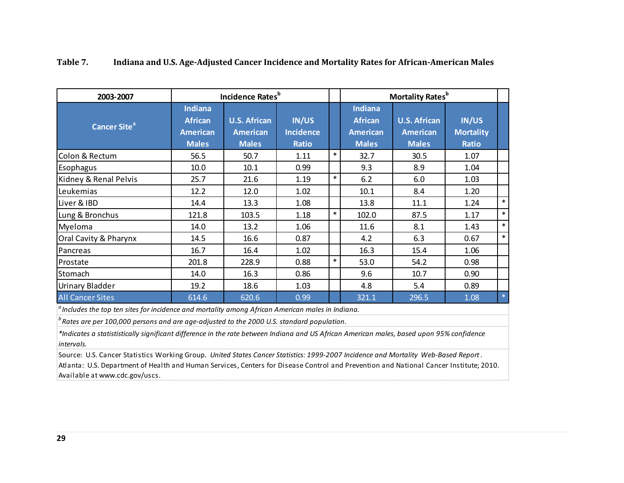| 2003-2007                                                                                                                                                                                                    |                                                                     | Incidence Rates <sup>b</sup>                           |                                           |        |                                                                     | <b>Mortality Rates</b> <sup>b</sup>                    |                                                  |        |
|--------------------------------------------------------------------------------------------------------------------------------------------------------------------------------------------------------------|---------------------------------------------------------------------|--------------------------------------------------------|-------------------------------------------|--------|---------------------------------------------------------------------|--------------------------------------------------------|--------------------------------------------------|--------|
| <b>Cancer Site<sup>a</sup></b>                                                                                                                                                                               | <b>Indiana</b><br><b>African</b><br><b>American</b><br><b>Males</b> | <b>U.S. African</b><br><b>American</b><br><b>Males</b> | IN/US<br><b>Incidence</b><br><b>Ratio</b> |        | <b>Indiana</b><br><b>African</b><br><b>American</b><br><b>Males</b> | <b>U.S. African</b><br><b>American</b><br><b>Males</b> | <b>IN/US</b><br><b>Mortality</b><br><b>Ratio</b> |        |
| Colon & Rectum                                                                                                                                                                                               | 56.5                                                                | 50.7                                                   | 1.11                                      | $\ast$ | 32.7                                                                | 30.5                                                   | 1.07                                             |        |
| <b>Esophagus</b>                                                                                                                                                                                             | 10.0                                                                | 10.1                                                   | 0.99                                      |        | 9.3                                                                 | 8.9                                                    | 1.04                                             |        |
| Kidney & Renal Pelvis                                                                                                                                                                                        | 25.7                                                                | 21.6                                                   | 1.19                                      | $\ast$ | 6.2                                                                 | 6.0                                                    | 1.03                                             |        |
| Leukemias                                                                                                                                                                                                    | 12.2                                                                | 12.0                                                   | 1.02                                      |        | 10.1                                                                | 8.4                                                    | 1.20                                             |        |
| Liver & IBD                                                                                                                                                                                                  | 14.4                                                                | 13.3                                                   | 1.08                                      |        | 13.8                                                                | 11.1                                                   | 1.24                                             | $\ast$ |
| Lung & Bronchus                                                                                                                                                                                              | 121.8                                                               | 103.5                                                  | 1.18                                      | $\ast$ | 102.0                                                               | 87.5                                                   | 1.17                                             | $\ast$ |
| Myeloma                                                                                                                                                                                                      | 14.0                                                                | 13.2                                                   | 1.06                                      |        | 11.6                                                                | 8.1                                                    | 1.43                                             | $\ast$ |
| Oral Cavity & Pharynx                                                                                                                                                                                        | 14.5                                                                | 16.6                                                   | 0.87                                      |        | 4.2                                                                 | 6.3                                                    | 0.67                                             | $\ast$ |
| Pancreas                                                                                                                                                                                                     | 16.7                                                                | 16.4                                                   | 1.02                                      |        | 16.3                                                                | 15.4                                                   | 1.06                                             |        |
| Prostate                                                                                                                                                                                                     | 201.8                                                               | 228.9                                                  | 0.88                                      | $\ast$ | 53.0                                                                | 54.2                                                   | 0.98                                             |        |
| Stomach                                                                                                                                                                                                      | 14.0                                                                | 16.3                                                   | 0.86                                      |        | 9.6                                                                 | 10.7                                                   | 0.90                                             |        |
| Urinary Bladder                                                                                                                                                                                              | 19.2                                                                | 18.6                                                   | 1.03                                      |        | 4.8                                                                 | 5.4                                                    | 0.89                                             |        |
| <b>All Cancer Sites</b>                                                                                                                                                                                      | 614.6                                                               | 620.6                                                  | 0.99                                      |        | 321.1                                                               | 296.5                                                  | 1.08                                             | $\ast$ |
| <sup>a</sup> Includes the top ten sites for incidence and mortality among African American males in Indiana.<br>$b$ Rates are per 100,000 persons and are age-adjusted to the 2000 U.S. standard population. |                                                                     |                                                        |                                           |        |                                                                     |                                                        |                                                  |        |

## <span id="page-33-0"></span>**Table 7. Indiana and U.S. Age-Adjusted Cancer Incidence and Mortality Rates for African-American Males**

*\*Indicates a statististically significant difference in the rate between Indiana and US African American males, based upon 95% confidence intervals.*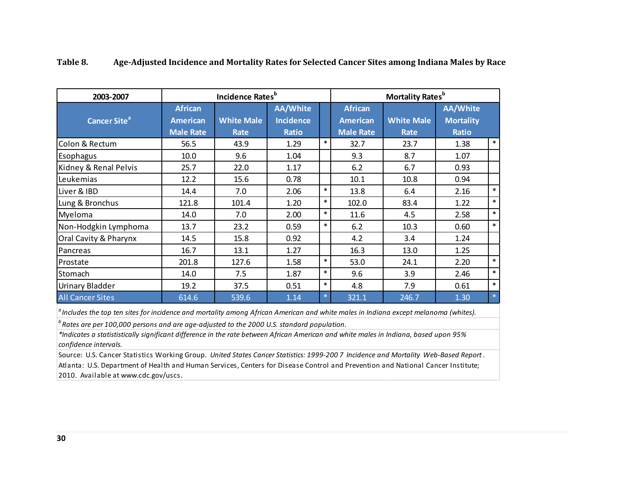| 2003-2007                      |                                                       | Incidence Rates <sup>b</sup> |                                                     |        | <b>Mortality Rates</b> <sup>b</sup>                   |                                  |                                                     |         |
|--------------------------------|-------------------------------------------------------|------------------------------|-----------------------------------------------------|--------|-------------------------------------------------------|----------------------------------|-----------------------------------------------------|---------|
| <b>Cancer Site<sup>a</sup></b> | <b>African</b><br><b>American</b><br><b>Male Rate</b> | <b>White Male</b><br>Rate    | <b>AA/White</b><br><b>Incidence</b><br><b>Ratio</b> |        | <b>African</b><br><b>American</b><br><b>Male Rate</b> | <b>White Male</b><br><b>Rate</b> | <b>AA/White</b><br><b>Mortality</b><br><b>Ratio</b> |         |
| Colon & Rectum                 | 56.5                                                  | 43.9                         | 1.29                                                | $\ast$ | 32.7                                                  | 23.7                             | 1.38                                                | $\ast$  |
| Esophagus                      | 10.0                                                  | 9.6                          | 1.04                                                |        | 9.3                                                   | 8.7                              | 1.07                                                |         |
| Kidney & Renal Pelvis          | 25.7                                                  | 22.0                         | 1.17                                                |        | 6.2                                                   | 6.7                              | 0.93                                                |         |
| Leukemias                      | 12.2                                                  | 15.6                         | 0.78                                                |        | 10.1                                                  | 10.8                             | 0.94                                                |         |
| Liver & IBD                    | 14.4                                                  | 7.0                          | 2.06                                                | $\ast$ | 13.8                                                  | 6.4                              | 2.16                                                | $\ast$  |
| Lung & Bronchus                | 121.8                                                 | 101.4                        | 1.20                                                | $\ast$ | 102.0                                                 | 83.4                             | 1.22                                                | $\ast$  |
| Myeloma                        | 14.0                                                  | 7.0                          | 2.00                                                | $\ast$ | 11.6                                                  | 4.5                              | 2.58                                                | $\ast$  |
| Non-Hodgkin Lymphoma           | 13.7                                                  | 23.2                         | 0.59                                                | $\ast$ | 6.2                                                   | 10.3                             | 0.60                                                | $\ast$  |
| Oral Cavity & Pharynx          | 14.5                                                  | 15.8                         | 0.92                                                |        | 4.2                                                   | 3.4                              | 1.24                                                |         |
| Pancreas                       | 16.7                                                  | 13.1                         | 1.27                                                |        | 16.3                                                  | 13.0                             | 1.25                                                |         |
| Prostate                       | 201.8                                                 | 127.6                        | 1.58                                                | $\ast$ | 53.0                                                  | 24.1                             | 2.20                                                | $\ast$  |
| Stomach                        | 14.0                                                  | 7.5                          | 1.87                                                | $\ast$ | 9.6                                                   | 3.9                              | 2.46                                                | $\ast$  |
| Urinary Bladder                | 19.2                                                  | 37.5                         | 0.51                                                | $\ast$ | 4.8                                                   | 7.9                              | 0.61                                                | $\ast$  |
| <b>All Cancer Sites</b>        | 614.6                                                 | 539.6                        | 1.14                                                | $\ast$ | 321.1                                                 | 246.7                            | 1.30                                                | $\star$ |

#### <span id="page-34-0"></span>**Table 8. Age-Adjusted Incidence and Mortality Rates for Selected Cancer Sites among Indiana Males by Race**

*a Includes the top ten sites for incidence and mortality among African American and white males in Indiana except melanoma (whites).*

*b* Rates are per 100,000 persons and are age-adjusted to the 2000 U.S. standard population.

*\*Indicates a statististically significant difference in the rate between African American and white males in Indiana, based upon 95% confidence intervals.*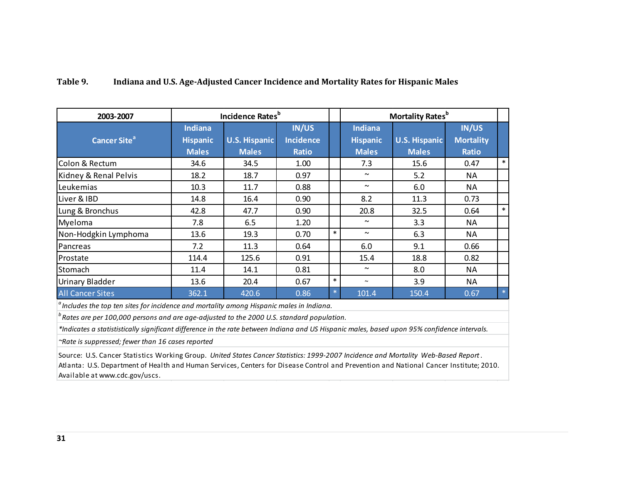## <span id="page-35-0"></span>**Table 9. Indiana and U.S. Age-Adjusted Cancer Incidence and Mortality Rates for Hispanic Males**

| 2003-2007                                                                                                                                    |                                   | Incidence Rates <sup>b</sup> |                                  |        |                                   | <b>Mortality Rates</b> <sup>b</sup> |                                  |         |
|----------------------------------------------------------------------------------------------------------------------------------------------|-----------------------------------|------------------------------|----------------------------------|--------|-----------------------------------|-------------------------------------|----------------------------------|---------|
| <b>Cancer Site<sup>a</sup></b>                                                                                                               | <b>Indiana</b><br><b>Hispanic</b> | <b>U.S. Hispanic</b>         | <b>IN/US</b><br><b>Incidence</b> |        | <b>Indiana</b><br><b>Hispanic</b> | <b>U.S. Hispanic</b>                | <b>IN/US</b><br><b>Mortality</b> |         |
|                                                                                                                                              | <b>Males</b>                      | <b>Males</b>                 | <b>Ratio</b>                     |        | <b>Males</b>                      | <b>Males</b>                        | <b>Ratio</b>                     |         |
| Colon & Rectum                                                                                                                               | 34.6                              | 34.5                         | 1.00                             |        | 7.3                               | 15.6                                | 0.47                             | $\ast$  |
| Kidney & Renal Pelvis                                                                                                                        | 18.2                              | 18.7                         | 0.97                             |        | $\sim$                            | 5.2                                 | NA.                              |         |
| Leukemias                                                                                                                                    | 10.3                              | 11.7                         | 0.88                             |        | $\tilde{\phantom{a}}$             | 6.0                                 | NA                               |         |
| Liver & IBD                                                                                                                                  | 14.8                              | 16.4                         | 0.90                             |        | 8.2                               | 11.3                                | 0.73                             |         |
| Lung & Bronchus                                                                                                                              | 42.8                              | 47.7                         | 0.90                             |        | 20.8                              | 32.5                                | 0.64                             | $\ast$  |
| Myeloma                                                                                                                                      | 7.8                               | 6.5                          | 1.20                             |        | $\sim$                            | 3.3                                 | NA                               |         |
| Non-Hodgkin Lymphoma                                                                                                                         | 13.6                              | 19.3                         | 0.70                             | $\ast$ | $\sim$                            | 6.3                                 | NA                               |         |
| Pancreas                                                                                                                                     | 7.2                               | 11.3                         | 0.64                             |        | 6.0                               | 9.1                                 | 0.66                             |         |
| Prostate                                                                                                                                     | 114.4                             | 125.6                        | 0.91                             |        | 15.4                              | 18.8                                | 0.82                             |         |
| Stomach                                                                                                                                      | 11.4                              | 14.1                         | 0.81                             |        | $\tilde{\phantom{a}}$             | 8.0                                 | <b>NA</b>                        |         |
| <b>Urinary Bladder</b>                                                                                                                       | 13.6                              | 20.4                         | 0.67                             | $\ast$ | $\tilde{\phantom{a}}$             | 3.9                                 | ΝA                               |         |
| <b>All Cancer Sites</b>                                                                                                                      | 362.1                             | 420.6                        | 0.86                             | $*$    | 101.4                             | 150.4                               | 0.67                             | $\star$ |
| <sup>a</sup> Includes the top ten sites for incidence and mortality among Hispanic males in Indiana.                                         |                                   |                              |                                  |        |                                   |                                     |                                  |         |
| $b$ Rates are per 100,000 persons and are age-adjusted to the 2000 U.S. standard population.                                                 |                                   |                              |                                  |        |                                   |                                     |                                  |         |
| *Indicates a statististically significant difference in the rate between Indiana and US Hispanic males, based upon 95% confidence intervals. |                                   |                              |                                  |        |                                   |                                     |                                  |         |

*~Rate is suppressed; fewer than 16 cases reported*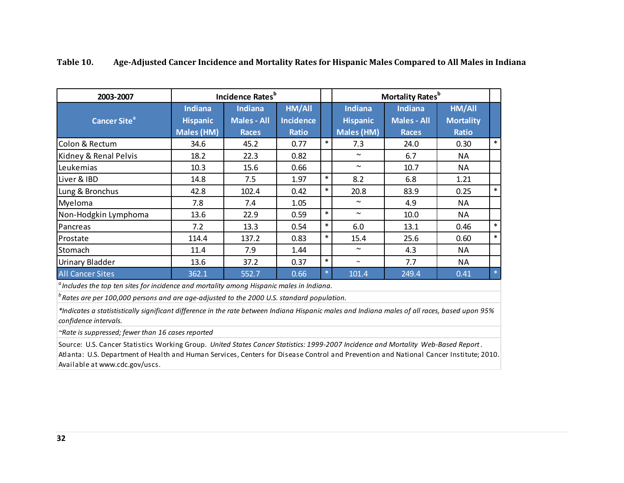| 2003-2007                      |                                                        | Incidence Rates <sup>b</sup>                         |                                                   |        |                                                        | <b>Mortality Rates</b> <sup>b</sup>                  |                                            |        |
|--------------------------------|--------------------------------------------------------|------------------------------------------------------|---------------------------------------------------|--------|--------------------------------------------------------|------------------------------------------------------|--------------------------------------------|--------|
| <b>Cancer Site<sup>a</sup></b> | <b>Indiana</b><br><b>Hispanic</b><br><b>Males (HM)</b> | <b>Indiana</b><br><b>Males - All</b><br><b>Races</b> | <b>HM/All</b><br><b>Incidence</b><br><b>Ratio</b> |        | <b>Indiana</b><br><b>Hispanic</b><br><b>Males (HM)</b> | <b>Indiana</b><br><b>Males - All</b><br><b>Races</b> | HM/All<br><b>Mortality</b><br><b>Ratio</b> |        |
| Colon & Rectum                 | 34.6                                                   | 45.2                                                 | 0.77                                              | $\ast$ | 7.3                                                    | 24.0                                                 | 0.30                                       | $\ast$ |
| Kidney & Renal Pelvis          | 18.2                                                   | 22.3                                                 | 0.82                                              |        | $\sim$                                                 | 6.7                                                  | NA                                         |        |
| Leukemias                      | 10.3                                                   | 15.6                                                 | 0.66                                              |        | $\sim$                                                 | 10.7                                                 | NA                                         |        |
| Liver & IBD                    | 14.8                                                   | 7.5                                                  | 1.97                                              | $\ast$ | 8.2                                                    | 6.8                                                  | 1.21                                       |        |
| Lung & Bronchus                | 42.8                                                   | 102.4                                                | 0.42                                              | $\ast$ | 20.8                                                   | 83.9                                                 | 0.25                                       | $\ast$ |
| Myeloma                        | 7.8                                                    | 7.4                                                  | 1.05                                              |        | $\sim$                                                 | 4.9                                                  | NA                                         |        |
| Non-Hodgkin Lymphoma           | 13.6                                                   | 22.9                                                 | 0.59                                              | $\ast$ | $\sim$                                                 | 10.0                                                 | ΝA                                         |        |
| Pancreas                       | 7.2                                                    | 13.3                                                 | 0.54                                              | $\ast$ | 6.0                                                    | 13.1                                                 | 0.46                                       | $\ast$ |
| Prostate                       | 114.4                                                  | 137.2                                                | 0.83                                              | $\ast$ | 15.4                                                   | 25.6                                                 | 0.60                                       | $\ast$ |
| Stomach                        | 11.4                                                   | 7.9                                                  | 1.44                                              |        | $\sim$                                                 | 4.3                                                  | NA                                         |        |
| Urinary Bladder                | 13.6                                                   | 37.2                                                 | 0.37                                              | $\ast$ | $\sim$                                                 | 7.7                                                  | NA                                         |        |
| <b>All Cancer Sites</b>        | 362.1                                                  | 552.7                                                | 0.66                                              | $\ast$ | 101.4                                                  | 249.4                                                | 0.41                                       | $\ast$ |

## <span id="page-36-0"></span>**Table 10. Age-Adjusted Cancer Incidence and Mortality Rates for Hispanic Males Compared to All Males in Indiana**

*<sup>a</sup> Includes the top ten sites for incidence and mortality among Hispanic males in Indiana.*

<sup>*b*</sup> Rates are per 100,000 persons and are age-adjusted to the 2000 U.S. standard population.

*\*Indicates a statististically significant difference in the rate between Indiana Hispanic males and Indiana males of all races, based upon 95% confidence intervals.*

*~Rate is suppressed; fewer than 16 cases reported*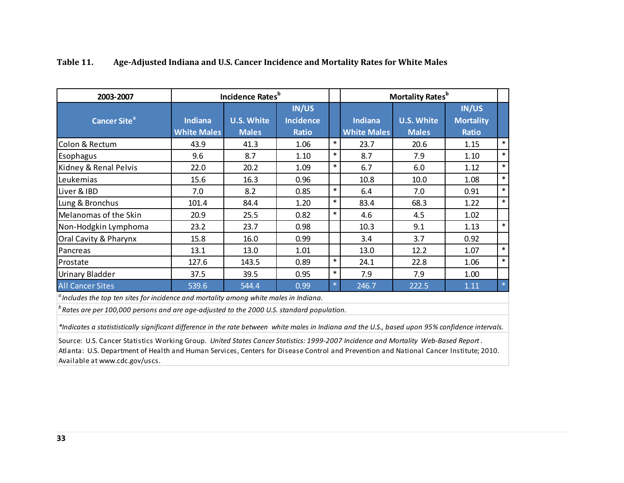| 2003-2007                | <b>Incidence Rates</b> <sup>b</sup>                                                                                                                     |                                   |                                           |        |                                      | <b>Mortality Rates</b> <sup>b</sup> |                                           |        |  |
|--------------------------|---------------------------------------------------------------------------------------------------------------------------------------------------------|-----------------------------------|-------------------------------------------|--------|--------------------------------------|-------------------------------------|-------------------------------------------|--------|--|
| Cancer Site <sup>a</sup> | <b>Indiana</b><br><b>White Males</b>                                                                                                                    | <b>U.S. White</b><br><b>Males</b> | IN/US<br><b>Incidence</b><br><b>Ratio</b> |        | <b>Indiana</b><br><b>White Males</b> | <b>U.S. White</b><br><b>Males</b>   | IN/US<br><b>Mortality</b><br><b>Ratio</b> |        |  |
| Colon & Rectum           | 43.9                                                                                                                                                    | 41.3                              | 1.06                                      | $\ast$ | 23.7                                 | 20.6                                | 1.15                                      | $\ast$ |  |
| Esophagus                | 9.6                                                                                                                                                     | 8.7                               | 1.10                                      | $\ast$ | 8.7                                  | 7.9                                 | 1.10                                      | $\ast$ |  |
| Kidney & Renal Pelvis    | 22.0                                                                                                                                                    | 20.2                              | 1.09                                      | $\ast$ | 6.7                                  | 6.0                                 | 1.12                                      | $\ast$ |  |
| Leukemias                | 15.6                                                                                                                                                    | 16.3                              | 0.96                                      |        | 10.8                                 | 10.0                                | 1.08                                      | $\ast$ |  |
| Liver & IBD              | 7.0                                                                                                                                                     | 8.2                               | 0.85                                      | $\ast$ | 6.4                                  | 7.0                                 | 0.91                                      | $\ast$ |  |
| Lung & Bronchus          | 101.4                                                                                                                                                   | 84.4                              | 1.20                                      | $\ast$ | 83.4                                 | 68.3                                | 1.22                                      | $\ast$ |  |
| Melanomas of the Skin    | 20.9                                                                                                                                                    | 25.5                              | 0.82                                      | $\ast$ | 4.6                                  | 4.5                                 | 1.02                                      |        |  |
| Non-Hodgkin Lymphoma     | 23.2                                                                                                                                                    | 23.7                              | 0.98                                      |        | 10.3                                 | 9.1                                 | 1.13                                      | $\ast$ |  |
| Oral Cavity & Pharynx    | 15.8                                                                                                                                                    | 16.0                              | 0.99                                      |        | 3.4                                  | 3.7                                 | 0.92                                      |        |  |
| Pancreas                 | 13.1                                                                                                                                                    | 13.0                              | 1.01                                      |        | 13.0                                 | 12.2                                | 1.07                                      | $\ast$ |  |
| Prostate                 | 127.6                                                                                                                                                   | 143.5                             | 0.89                                      | $\ast$ | 24.1                                 | 22.8                                | 1.06                                      | $\ast$ |  |
| <b>Urinary Bladder</b>   | 37.5                                                                                                                                                    | 39.5                              | 0.95                                      | $\ast$ | 7.9                                  | 7.9                                 | 1.00                                      |        |  |
| <b>All Cancer Sites</b>  | 539.6                                                                                                                                                   | 544.4                             | 0.99                                      | $\ast$ | 246.7                                | 222.5                               | 1.11                                      | $\ast$ |  |
|                          | $\alpha$ Includes the top ten sites for incidence and mortality among white males in Indiana.<br><u>h ann anns an chuidhean ann an chuidhean an chu</u> |                                   |                                           |        |                                      |                                     |                                           |        |  |

## <span id="page-37-0"></span>**Table 11. Age-Adjusted Indiana and U.S. Cancer Incidence and Mortality Rates for White Males**

*b Rates are per 100,000 persons and are age-adjusted to the 2000 U.S. standard population.*

*\*Indicates a statististically significant difference in the rate between white males in Indiana and the U.S., based upon 95% confidence intervals.*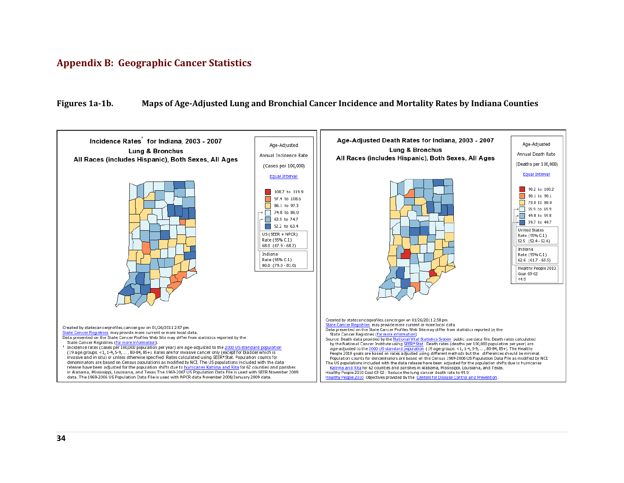## <span id="page-38-0"></span>**Appendix B: Geographic Cancer Statistics**

#### <span id="page-38-1"></span>**Figures 1a-1b. Maps of Age-Adjusted Lung and Bronchial Cancer Incidence and Mortality Rates by Indiana Counties**

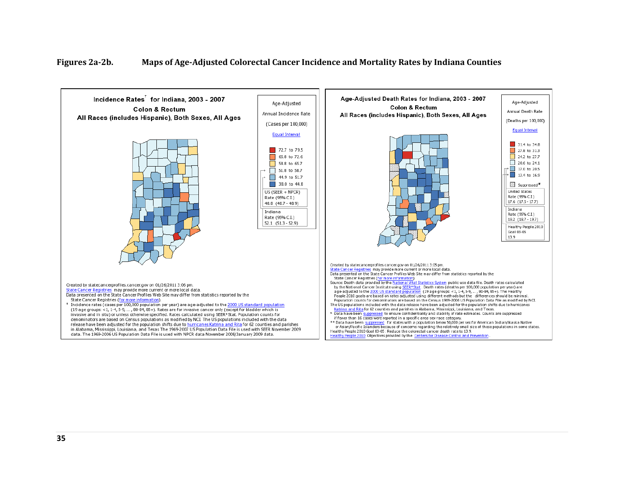#### <span id="page-39-0"></span>**Figures 2a-2b. Maps of Age-Adjusted Colorectal Cancer Incidence and Mortality Rates by Indiana Counties**

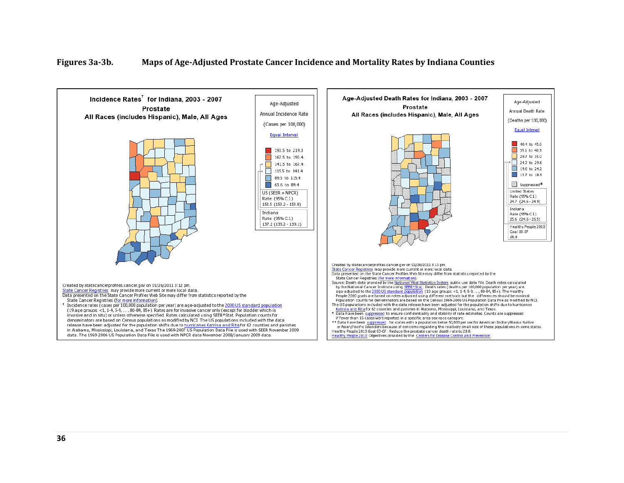#### <span id="page-40-0"></span>**Figures 3a-3b. Maps of Age-Adjusted Prostate Cancer Incidence and Mortality Rates by Indiana Counties**

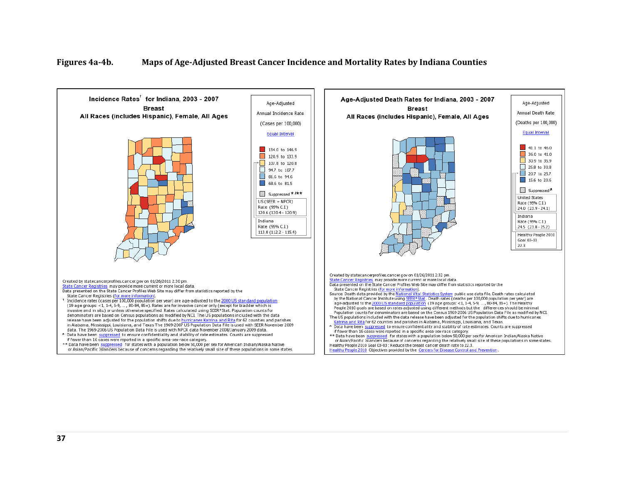#### <span id="page-41-0"></span>**Figures 4a-4b. Maps of Age-Adjusted Breast Cancer Incidence and Mortality Rates by Indiana Counties**

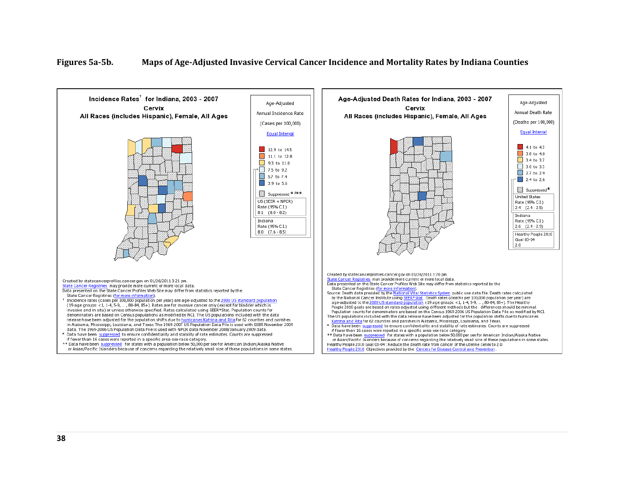#### <span id="page-42-0"></span>**Figures 5a-5b. Maps of Age-Adjusted Invasive Cervical Cancer Incidence and Mortality Rates by Indiana Counties**

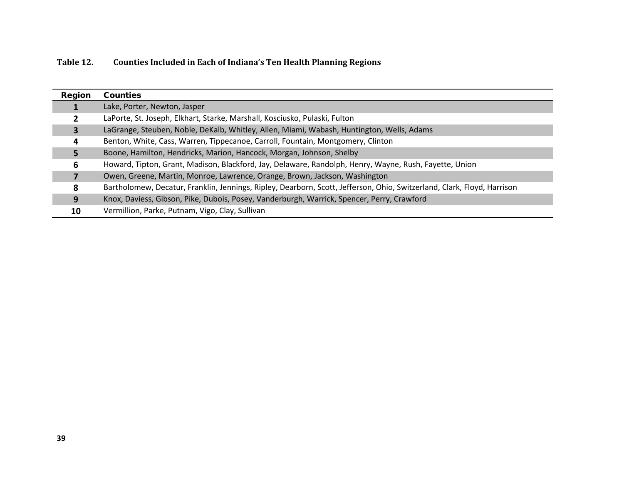<span id="page-43-0"></span>

| Table 12. | <b>Counties Included in Each of Indiana's Ten Health Planning Regions</b> |
|-----------|---------------------------------------------------------------------------|
|-----------|---------------------------------------------------------------------------|

| Region | <b>Counties</b>                                                                                                         |
|--------|-------------------------------------------------------------------------------------------------------------------------|
|        | Lake, Porter, Newton, Jasper                                                                                            |
|        | LaPorte, St. Joseph, Elkhart, Starke, Marshall, Kosciusko, Pulaski, Fulton                                              |
| 3      | LaGrange, Steuben, Noble, DeKalb, Whitley, Allen, Miami, Wabash, Huntington, Wells, Adams                               |
| 4      | Benton, White, Cass, Warren, Tippecanoe, Carroll, Fountain, Montgomery, Clinton                                         |
|        | Boone, Hamilton, Hendricks, Marion, Hancock, Morgan, Johnson, Shelby                                                    |
| 6      | Howard, Tipton, Grant, Madison, Blackford, Jay, Delaware, Randolph, Henry, Wayne, Rush, Fayette, Union                  |
|        | Owen, Greene, Martin, Monroe, Lawrence, Orange, Brown, Jackson, Washington                                              |
| 8      | Bartholomew, Decatur, Franklin, Jennings, Ripley, Dearborn, Scott, Jefferson, Ohio, Switzerland, Clark, Floyd, Harrison |
| 9      | Knox, Daviess, Gibson, Pike, Dubois, Posey, Vanderburgh, Warrick, Spencer, Perry, Crawford                              |
| 10     | Vermillion, Parke, Putnam, Vigo, Clay, Sullivan                                                                         |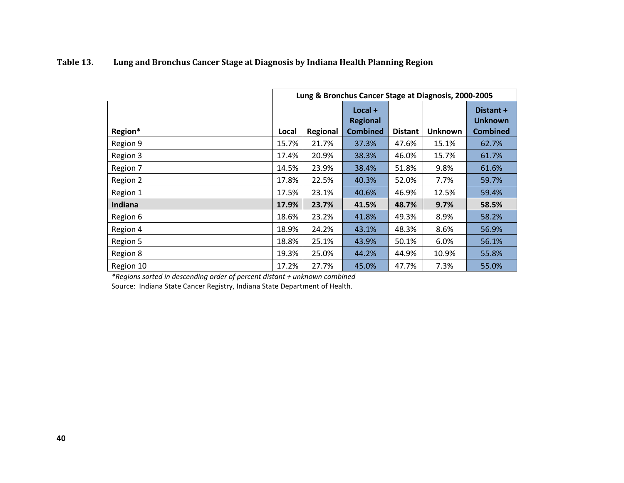|           |       | Lung & Bronchus Cancer Stage at Diagnosis, 2000-2005 |                                                 |                |                |                                                |  |  |  |
|-----------|-------|------------------------------------------------------|-------------------------------------------------|----------------|----------------|------------------------------------------------|--|--|--|
| Region*   | Local | Regional                                             | $Local +$<br><b>Regional</b><br><b>Combined</b> | <b>Distant</b> | <b>Unknown</b> | Distant +<br><b>Unknown</b><br><b>Combined</b> |  |  |  |
| Region 9  | 15.7% | 21.7%                                                | 37.3%                                           | 47.6%          | 15.1%          | 62.7%                                          |  |  |  |
| Region 3  | 17.4% | 20.9%                                                | 38.3%                                           | 46.0%          | 15.7%          | 61.7%                                          |  |  |  |
| Region 7  | 14.5% | 23.9%                                                | 38.4%                                           | 51.8%          | 9.8%           | 61.6%                                          |  |  |  |
| Region 2  | 17.8% | 22.5%                                                | 40.3%                                           | 52.0%          | 7.7%           | 59.7%                                          |  |  |  |
| Region 1  | 17.5% | 23.1%                                                | 40.6%                                           | 46.9%          | 12.5%          | 59.4%                                          |  |  |  |
| Indiana   | 17.9% | 23.7%                                                | 41.5%                                           | 48.7%          | 9.7%           | 58.5%                                          |  |  |  |
| Region 6  | 18.6% | 23.2%                                                | 41.8%                                           | 49.3%          | 8.9%           | 58.2%                                          |  |  |  |
| Region 4  | 18.9% | 24.2%                                                | 43.1%                                           | 48.3%          | 8.6%           | 56.9%                                          |  |  |  |
| Region 5  | 18.8% | 25.1%                                                | 43.9%                                           | 50.1%          | 6.0%           | 56.1%                                          |  |  |  |
| Region 8  | 19.3% | 25.0%                                                | 44.2%                                           | 44.9%          | 10.9%          | 55.8%                                          |  |  |  |
| Region 10 | 17.2% | 27.7%                                                | 45.0%                                           | 47.7%          | 7.3%           | 55.0%                                          |  |  |  |

## <span id="page-44-0"></span>**Table 13. Lung and Bronchus Cancer Stage at Diagnosis by Indiana Health Planning Region**

*\*Regions sorted in descending order of percent distant + unknown combined*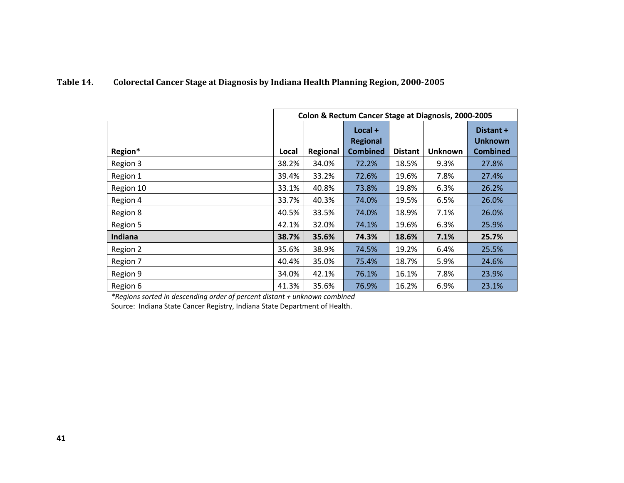## <span id="page-45-0"></span>**Table 14. Colorectal Cancer Stage at Diagnosis by Indiana Health Planning Region, 2000-2005**

|           | Colon & Rectum Cancer Stage at Diagnosis, 2000-2005 |          |                                               |                |                |                                                |  |  |
|-----------|-----------------------------------------------------|----------|-----------------------------------------------|----------------|----------------|------------------------------------------------|--|--|
| Region*   | Local                                               | Regional | Local +<br><b>Regional</b><br><b>Combined</b> | <b>Distant</b> | <b>Unknown</b> | Distant +<br><b>Unknown</b><br><b>Combined</b> |  |  |
| Region 3  | 38.2%                                               | 34.0%    | 72.2%                                         | 18.5%          | 9.3%           | 27.8%                                          |  |  |
| Region 1  | 39.4%                                               | 33.2%    | 72.6%                                         | 19.6%          | 7.8%           | 27.4%                                          |  |  |
| Region 10 | 33.1%                                               | 40.8%    | 73.8%                                         | 19.8%          | 6.3%           | 26.2%                                          |  |  |
| Region 4  | 33.7%                                               | 40.3%    | 74.0%                                         | 19.5%          | 6.5%           | 26.0%                                          |  |  |
| Region 8  | 40.5%                                               | 33.5%    | 74.0%                                         | 18.9%          | 7.1%           | 26.0%                                          |  |  |
| Region 5  | 42.1%                                               | 32.0%    | 74.1%                                         | 19.6%          | 6.3%           | 25.9%                                          |  |  |
| Indiana   | 38.7%                                               | 35.6%    | 74.3%                                         | 18.6%          | 7.1%           | 25.7%                                          |  |  |
| Region 2  | 35.6%                                               | 38.9%    | 74.5%                                         | 19.2%          | 6.4%           | 25.5%                                          |  |  |
| Region 7  | 40.4%                                               | 35.0%    | 75.4%                                         | 18.7%          | 5.9%           | 24.6%                                          |  |  |
| Region 9  | 34.0%                                               | 42.1%    | 76.1%                                         | 16.1%          | 7.8%           | 23.9%                                          |  |  |
| Region 6  | 41.3%                                               | 35.6%    | 76.9%                                         | 16.2%          | 6.9%           | 23.1%                                          |  |  |

*\*Regions sorted in descending order of percent distant + unknown combined*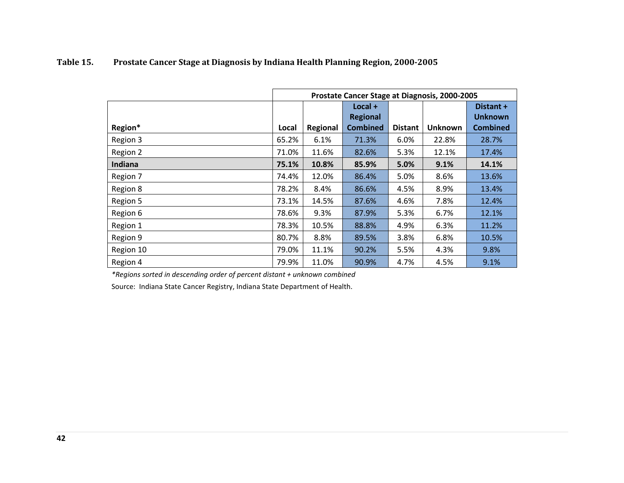|           | Prostate Cancer Stage at Diagnosis, 2000-2005 |          |                              |                |                |                             |  |  |
|-----------|-----------------------------------------------|----------|------------------------------|----------------|----------------|-----------------------------|--|--|
|           |                                               |          | $Local +$<br><b>Regional</b> |                |                | Distant +<br><b>Unknown</b> |  |  |
| Region*   | Local                                         | Regional | <b>Combined</b>              | <b>Distant</b> | <b>Unknown</b> | <b>Combined</b>             |  |  |
| Region 3  | 65.2%                                         | 6.1%     | 71.3%                        | $6.0\%$        | 22.8%          | 28.7%                       |  |  |
| Region 2  | 71.0%                                         | 11.6%    | 82.6%                        | 5.3%           | 12.1%          | 17.4%                       |  |  |
| Indiana   | 75.1%                                         | 10.8%    | 85.9%                        | 5.0%           | 9.1%           | 14.1%                       |  |  |
| Region 7  | 74.4%                                         | 12.0%    | 86.4%                        | 5.0%           | 8.6%           | 13.6%                       |  |  |
| Region 8  | 78.2%                                         | 8.4%     | 86.6%                        | 4.5%           | 8.9%           | 13.4%                       |  |  |
| Region 5  | 73.1%                                         | 14.5%    | 87.6%                        | 4.6%           | 7.8%           | 12.4%                       |  |  |
| Region 6  | 78.6%                                         | 9.3%     | 87.9%                        | 5.3%           | 6.7%           | 12.1%                       |  |  |
| Region 1  | 78.3%                                         | 10.5%    | 88.8%                        | 4.9%           | 6.3%           | 11.2%                       |  |  |
| Region 9  | 80.7%                                         | 8.8%     | 89.5%                        | 3.8%           | 6.8%           | 10.5%                       |  |  |
| Region 10 | 79.0%                                         | 11.1%    | 90.2%                        | 5.5%           | 4.3%           | 9.8%                        |  |  |
| Region 4  | 79.9%                                         | 11.0%    | 90.9%                        | 4.7%           | 4.5%           | 9.1%                        |  |  |

## <span id="page-46-0"></span>**Table 15. Prostate Cancer Stage at Diagnosis by Indiana Health Planning Region, 2000-2005**

*\*Regions sorted in descending order of percent distant + unknown combined* **Region**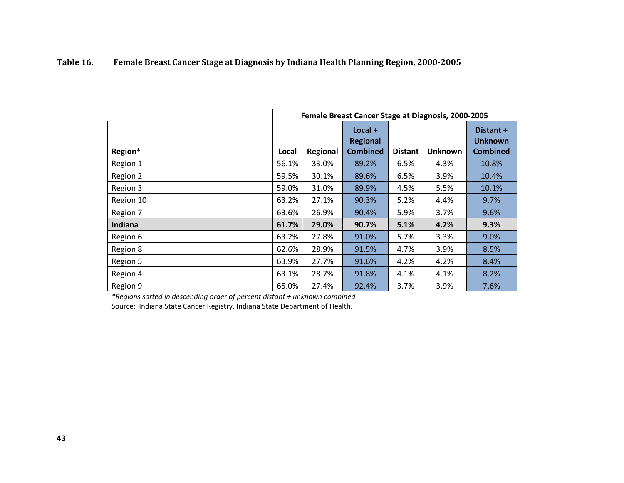## <span id="page-47-0"></span>**Table 16. Female Breast Cancer Stage at Diagnosis by Indiana Health Planning Region, 2000-2005**

|           | Female Breast Cancer Stage at Diagnosis, 2000-2005 |          |                                                 |                |                |                                         |  |  |
|-----------|----------------------------------------------------|----------|-------------------------------------------------|----------------|----------------|-----------------------------------------|--|--|
| Region*   | Local                                              | Regional | $Local +$<br><b>Regional</b><br><b>Combined</b> | <b>Distant</b> | <b>Unknown</b> | Distant +<br>Unknown<br><b>Combined</b> |  |  |
| Region 1  | 56.1%                                              | 33.0%    | 89.2%                                           | 6.5%           | 4.3%           | 10.8%                                   |  |  |
| Region 2  | 59.5%                                              | 30.1%    | 89.6%                                           | 6.5%           | 3.9%           | 10.4%                                   |  |  |
| Region 3  | 59.0%                                              | 31.0%    | 89.9%                                           | 4.5%           | 5.5%           | 10.1%                                   |  |  |
| Region 10 | 63.2%                                              | 27.1%    | 90.3%                                           | 5.2%           | 4.4%           | 9.7%                                    |  |  |
| Region 7  | 63.6%                                              | 26.9%    | 90.4%                                           | 5.9%           | 3.7%           | 9.6%                                    |  |  |
| Indiana   | 61.7%                                              | 29.0%    | 90.7%                                           | 5.1%           | 4.2%           | 9.3%                                    |  |  |
| Region 6  | 63.2%                                              | 27.8%    | 91.0%                                           | 5.7%           | 3.3%           | 9.0%                                    |  |  |
| Region 8  | 62.6%                                              | 28.9%    | 91.5%                                           | 4.7%           | 3.9%           | 8.5%                                    |  |  |
| Region 5  | 63.9%                                              | 27.7%    | 91.6%                                           | 4.2%           | 4.2%           | 8.4%                                    |  |  |
| Region 4  | 63.1%                                              | 28.7%    | 91.8%                                           | 4.1%           | 4.1%           | 8.2%                                    |  |  |
| Region 9  | 65.0%                                              | 27.4%    | 92.4%                                           | 3.7%           | 3.9%           | 7.6%                                    |  |  |

*\*Regions sorted in descending order of percent distant + unknown combined*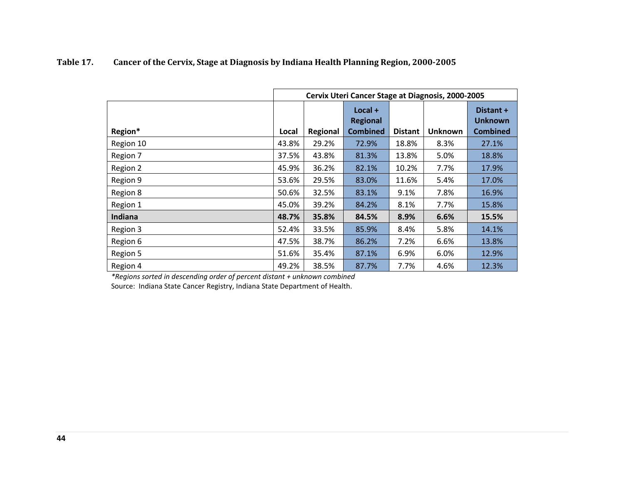|           |       | Cervix Uteri Cancer Stage at Diagnosis, 2000-2005 |                                                 |                |                |                                                |  |  |
|-----------|-------|---------------------------------------------------|-------------------------------------------------|----------------|----------------|------------------------------------------------|--|--|
| Region*   | Local | Regional                                          | $Local +$<br><b>Regional</b><br><b>Combined</b> | <b>Distant</b> | <b>Unknown</b> | Distant +<br><b>Unknown</b><br><b>Combined</b> |  |  |
| Region 10 | 43.8% | 29.2%                                             | 72.9%                                           | 18.8%          | 8.3%           | 27.1%                                          |  |  |
| Region 7  | 37.5% | 43.8%                                             | 81.3%                                           | 13.8%          | 5.0%           | 18.8%                                          |  |  |
| Region 2  | 45.9% | 36.2%                                             | 82.1%                                           | 10.2%          | 7.7%           | 17.9%                                          |  |  |
| Region 9  | 53.6% | 29.5%                                             | 83.0%                                           | 11.6%          | 5.4%           | 17.0%                                          |  |  |
| Region 8  | 50.6% | 32.5%                                             | 83.1%                                           | 9.1%           | 7.8%           | 16.9%                                          |  |  |
| Region 1  | 45.0% | 39.2%                                             | 84.2%                                           | 8.1%           | 7.7%           | 15.8%                                          |  |  |
| Indiana   | 48.7% | 35.8%                                             | 84.5%                                           | 8.9%           | 6.6%           | 15.5%                                          |  |  |
| Region 3  | 52.4% | 33.5%                                             | 85.9%                                           | 8.4%           | 5.8%           | 14.1%                                          |  |  |
| Region 6  | 47.5% | 38.7%                                             | 86.2%                                           | 7.2%           | 6.6%           | 13.8%                                          |  |  |
| Region 5  | 51.6% | 35.4%                                             | 87.1%                                           | 6.9%           | 6.0%           | 12.9%                                          |  |  |
| Region 4  | 49.2% | 38.5%                                             | 87.7%                                           | 7.7%           | 4.6%           | 12.3%                                          |  |  |

## <span id="page-48-0"></span>**Table 17. Cancer of the Cervix, Stage at Diagnosis by Indiana Health Planning Region, 2000-2005**

*\*Regions sorted in descending order of percent distant + unknown combined*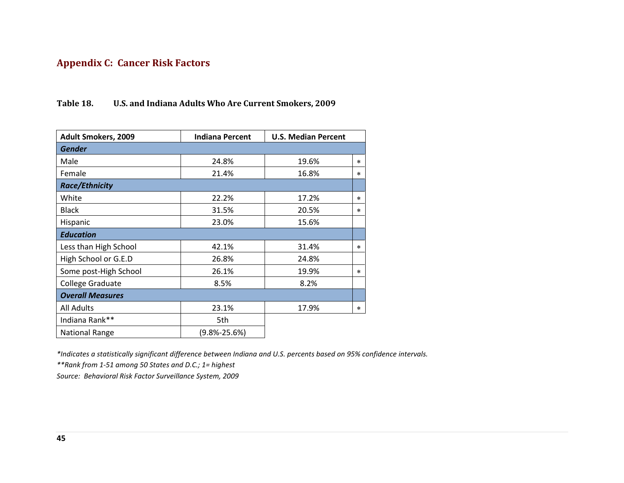## <span id="page-49-0"></span>**Appendix C: Cancer Risk Factors**

## <span id="page-49-1"></span>**Table 18. U.S. and Indiana Adults Who Are Current Smokers, 2009**

| <b>Adult Smokers, 2009</b> | <b>Indiana Percent</b> | <b>U.S. Median Percent</b> |        |
|----------------------------|------------------------|----------------------------|--------|
| <b>Gender</b>              |                        |                            |        |
| Male                       | 24.8%                  | 19.6%                      | $\ast$ |
| Female                     | 21.4%                  | 16.8%                      | $\ast$ |
| <b>Race/Ethnicity</b>      |                        |                            |        |
| White                      | 22.2%                  | 17.2%                      | $\ast$ |
| <b>Black</b>               | 31.5%                  | 20.5%                      | $\ast$ |
| Hispanic                   | 23.0%                  | 15.6%                      |        |
| <b>Education</b>           |                        |                            |        |
| Less than High School      | 42.1%                  | 31.4%                      | $\ast$ |
| High School or G.E.D       | 26.8%                  | 24.8%                      |        |
| Some post-High School      | 26.1%                  | 19.9%                      | $\ast$ |
| College Graduate           | 8.5%                   | 8.2%                       |        |
| <b>Overall Measures</b>    |                        |                            |        |
| <b>All Adults</b>          | 23.1%                  | 17.9%                      | $\ast$ |
| Indiana Rank**             | 5th                    |                            |        |
| <b>National Range</b>      | (9.8%-25.6%)           |                            |        |

*\*Indicates a statistically significant difference between Indiana and U.S. percents based on 95% confidence intervals.*

*\*\*Rank from 1-51 among 50 States and D.C.; 1= highest*

*Source: Behavioral Risk Factor Surveillance System, 2009*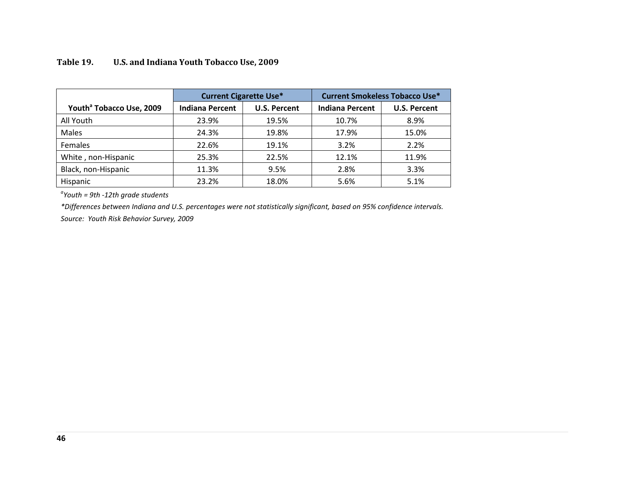|                                      | <b>Current Cigarette Use*</b> |                     | <b>Current Smokeless Tobacco Use*</b> |                     |  |
|--------------------------------------|-------------------------------|---------------------|---------------------------------------|---------------------|--|
| Youth <sup>ª</sup> Tobacco Use, 2009 | <b>Indiana Percent</b>        | <b>U.S. Percent</b> | <b>Indiana Percent</b>                | <b>U.S. Percent</b> |  |
| All Youth                            | 23.9%                         | 19.5%               | 10.7%                                 | 8.9%                |  |
| Males                                | 24.3%                         | 19.8%               | 17.9%                                 | 15.0%               |  |
| Females                              | 22.6%                         | 19.1%               | 3.2%                                  | 2.2%                |  |
| White, non-Hispanic                  | 25.3%                         | 22.5%               | 12.1%                                 | 11.9%               |  |
| Black, non-Hispanic                  | 11.3%                         | 9.5%                | 2.8%                                  | 3.3%                |  |
| Hispanic                             | 23.2%                         | 18.0%               | 5.6%                                  | 5.1%                |  |

## <span id="page-50-0"></span>**Table 19. U.S. and Indiana Youth Tobacco Use, 2009**

*a Youth = 9th -12th grade students*

*\*Differences between Indiana and U.S. percentages were not statistically significant, based on 95% confidence intervals.*

*Source: Youth Risk Behavior Survey, 2009*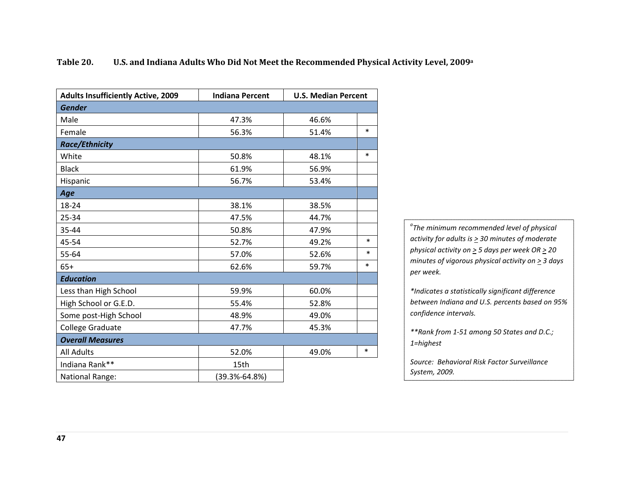| <b>Adults Insufficiently Active, 2009</b> | <b>Indiana Percent</b> |       | <b>U.S. Median Percent</b> |  |  |
|-------------------------------------------|------------------------|-------|----------------------------|--|--|
| <b>Gender</b>                             |                        |       |                            |  |  |
| Male                                      | 47.3%                  | 46.6% |                            |  |  |
| Female                                    | 56.3%                  | 51.4% | $\ast$                     |  |  |
| <b>Race/Ethnicity</b>                     |                        |       |                            |  |  |
| White                                     | 50.8%                  | 48.1% | $\ast$                     |  |  |
| <b>Black</b>                              | 61.9%                  | 56.9% |                            |  |  |
| Hispanic                                  | 56.7%                  | 53.4% |                            |  |  |
| Age                                       |                        |       |                            |  |  |
| 18-24                                     | 38.1%                  | 38.5% |                            |  |  |
| 25-34                                     | 47.5%                  | 44.7% |                            |  |  |
| 35-44                                     | 50.8%                  | 47.9% |                            |  |  |
| 45-54                                     | 52.7%                  | 49.2% | $\ast$                     |  |  |
| 55-64                                     | 57.0%                  | 52.6% | $\ast$                     |  |  |
| $65+$                                     | 62.6%                  | 59.7% | $\ast$                     |  |  |
| <b>Education</b>                          |                        |       |                            |  |  |
| Less than High School                     | 59.9%                  | 60.0% |                            |  |  |
| High School or G.E.D.                     | 55.4%                  | 52.8% |                            |  |  |
| Some post-High School                     | 48.9%                  | 49.0% |                            |  |  |
| <b>College Graduate</b>                   | 47.7%                  | 45.3% |                            |  |  |
| <b>Overall Measures</b>                   |                        |       |                            |  |  |
| <b>All Adults</b>                         | 52.0%                  | 49.0% | $\ast$                     |  |  |
| Indiana Rank**                            | 15th                   |       |                            |  |  |
| <b>National Range:</b>                    | $(39.3\% - 64.8\%)$    |       |                            |  |  |

## <span id="page-51-0"></span>**Table 20. U.S. and Indiana Adults Who Did Not Meet the Recommended Physical Activity Level, 2009a**

*a The minimum recommended level of physical activity for adults is > 30 minutes of moderate physical activity on > 5 days per week OR > 20 minutes of vigorous physical activity on > 3 days per week.*

*\*Indicates a statistically significant difference between Indiana and U.S. percents based on 95% confidence intervals.*

*\*\*Rank from 1-51 among 50 States and D.C.; 1=highest*

*Source: Behavioral Risk Factor Surveillance System, 2009.*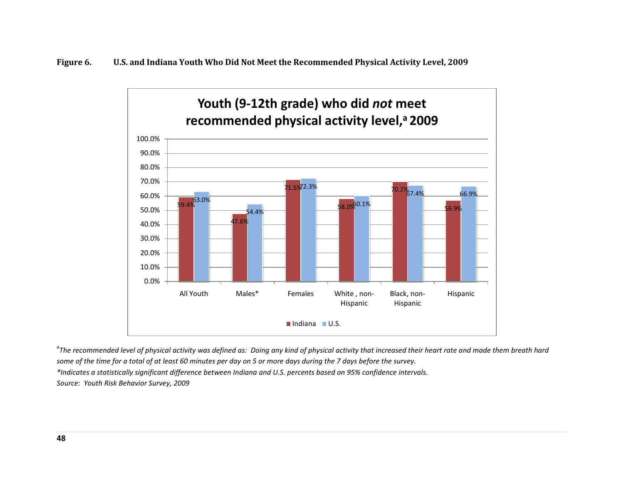<span id="page-52-0"></span>

<sup>a</sup>The recommended level of physical activity was defined as: Doing any kind of physical activity that increased their heart rate and made them breath hard *some of the time for a total of at least 60 minutes per day on 5 or more days during the 7 days before the survey. \*Indicates a statistically significant difference between Indiana and U.S. percents based on 95% confidence intervals. Source: Youth Risk Behavior Survey, 2009*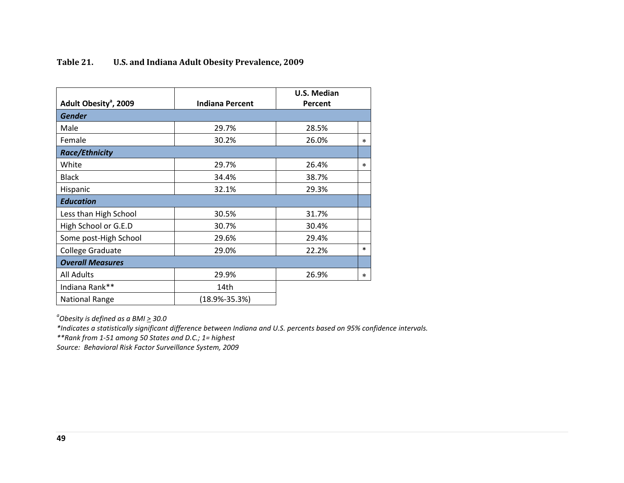| Adult Obesity <sup>a</sup> , 2009 | <b>Indiana Percent</b> | U.S. Median<br>Percent |        |
|-----------------------------------|------------------------|------------------------|--------|
| <b>Gender</b>                     |                        |                        |        |
| Male                              | 29.7%                  | 28.5%                  |        |
| Female                            | 30.2%                  | 26.0%                  | $\ast$ |
| <b>Race/Ethnicity</b>             |                        |                        |        |
| White                             | 29.7%                  |                        | *      |
| <b>Black</b>                      | 34.4%                  | 38.7%                  |        |
| Hispanic                          | 32.1%                  | 29.3%                  |        |
| <b>Education</b>                  |                        |                        |        |
| Less than High School             | 30.5%                  | 31.7%                  |        |
| High School or G.E.D              | 30.7%                  | 30.4%                  |        |
| Some post-High School             | 29.6%                  | 29.4%                  |        |
| College Graduate                  | 29.0%                  | 22.2%                  | $\ast$ |
| <b>Overall Measures</b>           |                        |                        |        |
| <b>All Adults</b>                 | 29.9%                  | 26.9%                  | *      |
| Indiana Rank**                    | 14th                   |                        |        |
| <b>National Range</b>             | $(18.9\% - 35.3\%)$    |                        |        |

## <span id="page-53-0"></span>**Table 21. U.S. and Indiana Adult Obesity Prevalence, 2009**

*a Obesity is defined as a BMI > 30.0*

*\*Indicates a statistically significant difference between Indiana and U.S. percents based on 95% confidence intervals.*

*\*\*Rank from 1-51 among 50 States and D.C.; 1= highest*

*Source: Behavioral Risk Factor Surveillance System, 2009*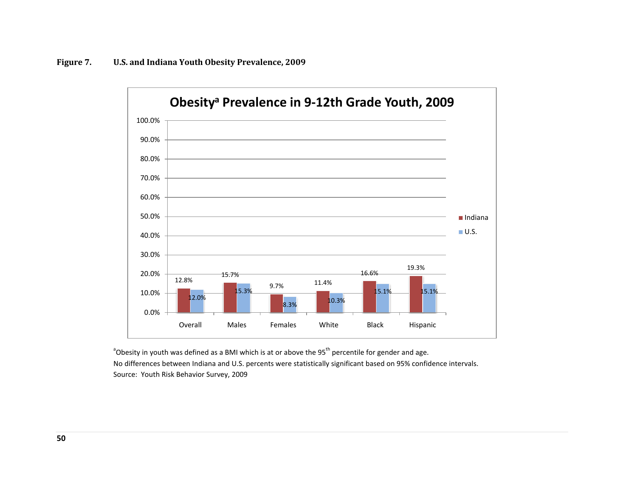<span id="page-54-0"></span>

<sup>a</sup>Obesity in youth was defined as a BMI which is at or above the 95<sup>th</sup> percentile for gender and age. No differences between Indiana and U.S. percents were statistically significant based on 95% confidence intervals. Source: Youth Risk Behavior Survey, 2009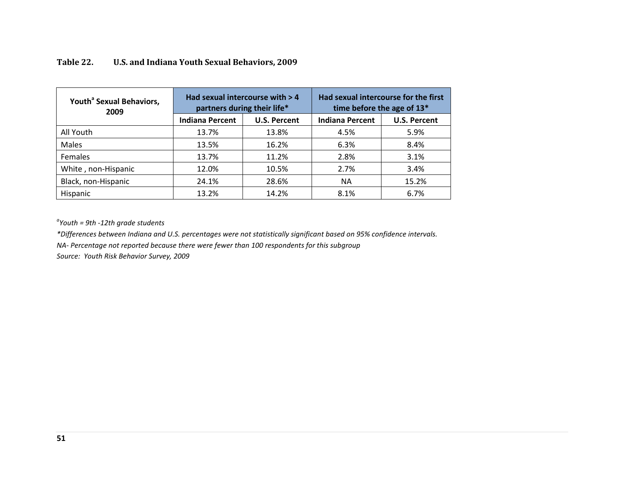| Youth <sup>ª</sup> Sexual Behaviors,<br>2009 |                        | Had sexual intercourse with $> 4$<br>partners during their life* | Had sexual intercourse for the first<br>time before the age of 13* |                     |  |
|----------------------------------------------|------------------------|------------------------------------------------------------------|--------------------------------------------------------------------|---------------------|--|
|                                              | <b>Indiana Percent</b> | <b>U.S. Percent</b>                                              | <b>Indiana Percent</b>                                             | <b>U.S. Percent</b> |  |
| All Youth                                    | 13.7%                  | 13.8%                                                            | 4.5%                                                               | 5.9%                |  |
| Males                                        | 13.5%                  | 16.2%                                                            | 6.3%                                                               | 8.4%                |  |
| <b>Females</b>                               | 13.7%                  | 11.2%                                                            | 2.8%                                                               | 3.1%                |  |
| White, non-Hispanic                          | 12.0%                  | 10.5%                                                            | 2.7%                                                               | 3.4%                |  |
| Black, non-Hispanic                          | 24.1%                  | 28.6%                                                            | <b>NA</b>                                                          | 15.2%               |  |
| Hispanic                                     | 13.2%                  | 14.2%                                                            | 8.1%                                                               | 6.7%                |  |

## <span id="page-55-0"></span>**Table 22. U.S. and Indiana Youth Sexual Behaviors, 2009**

*a Youth = 9th -12th grade students*

*\*Differences between Indiana and U.S. percentages were not statistically significant based on 95% confidence intervals.*

*NA- Percentage not reported because there were fewer than 100 respondents for this subgroup*

*Source: Youth Risk Behavior Survey, 2009*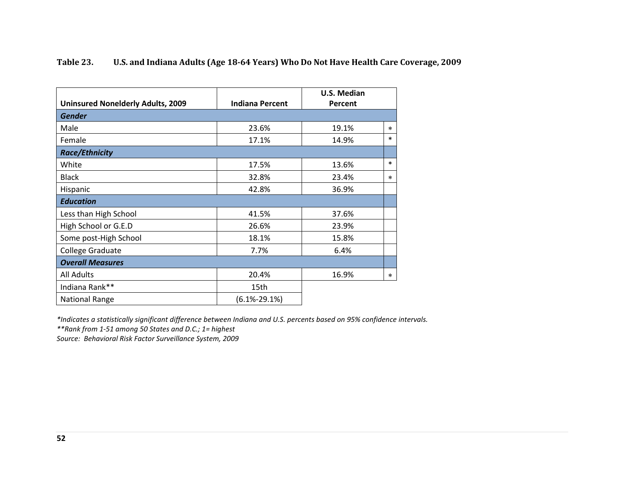<span id="page-56-0"></span>

| Table 23. | U.S. and Indiana Adults (Age 18-64 Years) Who Do Not Have Health Care Coverage, 2009 |
|-----------|--------------------------------------------------------------------------------------|
|-----------|--------------------------------------------------------------------------------------|

| <b>Uninsured Nonelderly Adults, 2009</b> | <b>Indiana Percent</b> | U.S. Median<br>Percent |        |
|------------------------------------------|------------------------|------------------------|--------|
| <b>Gender</b>                            |                        |                        |        |
| Male                                     | 23.6%                  | 19.1%                  | $\ast$ |
| Female                                   | 17.1%                  | 14.9%                  | $\ast$ |
| <b>Race/Ethnicity</b>                    |                        |                        |        |
| White                                    | 17.5%                  | 13.6%                  | $\ast$ |
| <b>Black</b>                             | 32.8%                  | 23.4%                  | $\ast$ |
| Hispanic                                 | 42.8%                  | 36.9%                  |        |
| <b>Education</b>                         |                        |                        |        |
| Less than High School                    | 41.5%                  | 37.6%                  |        |
| High School or G.E.D                     | 26.6%                  | 23.9%                  |        |
| Some post-High School                    | 18.1%                  | 15.8%                  |        |
| College Graduate                         | 7.7%                   | 6.4%                   |        |
| <b>Overall Measures</b>                  |                        |                        |        |
| <b>All Adults</b>                        | 20.4%                  | 16.9%                  | $\ast$ |
| Indiana Rank**                           | 15th                   |                        |        |
| <b>National Range</b>                    | $(6.1% - 29.1%)$       |                        |        |

*\*Indicates a statistically significant difference between Indiana and U.S. percents based on 95% confidence intervals.*

*\*\*Rank from 1-51 among 50 States and D.C.; 1= highest*

*Source: Behavioral Risk Factor Surveillance System, 2009*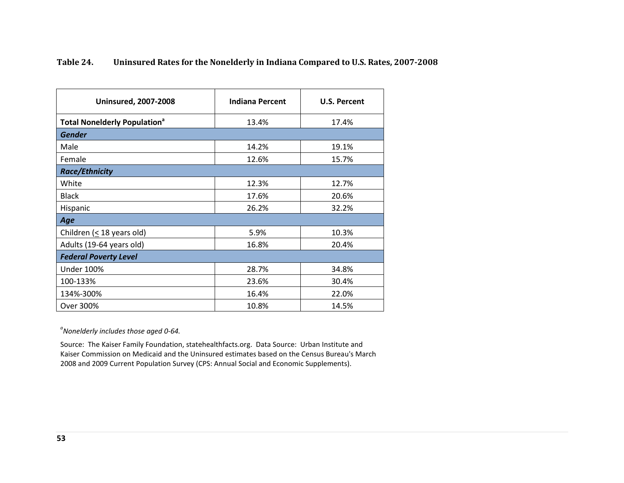<span id="page-57-0"></span>

| Table 24. | Uninsured Rates for the Nonelderly in Indiana Compared to U.S. Rates, 2007-2008 |  |  |
|-----------|---------------------------------------------------------------------------------|--|--|
|-----------|---------------------------------------------------------------------------------|--|--|

| <b>Uninsured, 2007-2008</b>                    | <b>Indiana Percent</b> | <b>U.S. Percent</b> |  |  |  |
|------------------------------------------------|------------------------|---------------------|--|--|--|
| <b>Total Nonelderly Population<sup>ª</sup></b> | 13.4%                  | 17.4%               |  |  |  |
| <b>Gender</b>                                  |                        |                     |  |  |  |
| Male                                           | 14.2%                  | 19.1%               |  |  |  |
| Female                                         | 12.6%                  | 15.7%               |  |  |  |
| <b>Race/Ethnicity</b>                          |                        |                     |  |  |  |
| White                                          | 12.3%                  | 12.7%               |  |  |  |
| <b>Black</b>                                   | 17.6%                  | 20.6%               |  |  |  |
| Hispanic                                       | 26.2%                  | 32.2%               |  |  |  |
| Age                                            |                        |                     |  |  |  |
| Children ( $\leq$ 18 years old)                | 5.9%                   | 10.3%               |  |  |  |
| Adults (19-64 years old)                       | 16.8%                  | 20.4%               |  |  |  |
| <b>Federal Poverty Level</b>                   |                        |                     |  |  |  |
| <b>Under 100%</b>                              | 28.7%                  | 34.8%               |  |  |  |
| 100-133%                                       | 23.6%                  | 30.4%               |  |  |  |
| 134%-300%                                      | 16.4%                  | 22.0%               |  |  |  |
| Over 300%                                      | 10.8%                  | 14.5%               |  |  |  |

*a Nonelderly includes those aged 0-64.*

Source: The Kaiser Family Foundation, statehealthfacts.org. Data Source: Urban Institute and Kaiser Commission on Medicaid and the Uninsured estimates based on the Census Bureau's March 2008 and 2009 Current Population Survey (CPS: Annual Social and Economic Supplements).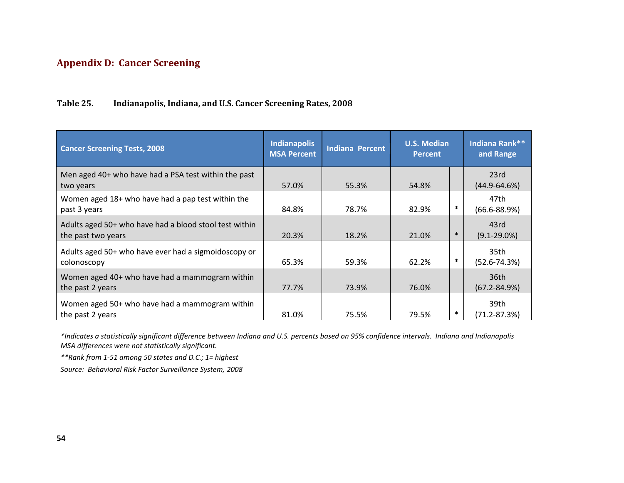## <span id="page-58-0"></span>**Appendix D: Cancer Screening**

## <span id="page-58-1"></span>**Table 25. Indianapolis, Indiana, and U.S. Cancer Screening Rates, 2008**

| <b>Cancer Screening Tests, 2008</b>                                          | <b>Indianapolis</b><br><b>MSA Percent</b> | <b>Indiana Percent</b> | <b>U.S. Median</b><br><b>Percent</b> |        | Indiana Rank**<br>and Range          |
|------------------------------------------------------------------------------|-------------------------------------------|------------------------|--------------------------------------|--------|--------------------------------------|
| Men aged 40+ who have had a PSA test within the past<br>two years            | 57.0%                                     | 55.3%                  | 54.8%                                |        | 23rd<br>$(44.9 - 64.6%)$             |
| Women aged 18+ who have had a pap test within the<br>past 3 years            | 84.8%                                     | 78.7%                  | 82.9%                                | $\ast$ | 47th<br>$(66.6 - 88.9%)$             |
| Adults aged 50+ who have had a blood stool test within<br>the past two years | 20.3%                                     | 18.2%                  | 21.0%                                | $\ast$ | 43rd<br>$(9.1 - 29.0\%)$             |
| Adults aged 50+ who have ever had a sigmoidoscopy or<br>colonoscopy          | 65.3%                                     | 59.3%                  | 62.2%                                | $\ast$ | 35th<br>$(52.6 - 74.3%)$             |
| Women aged 40+ who have had a mammogram within<br>the past 2 years           | 77.7%                                     | 73.9%                  | 76.0%                                |        | 36 <sub>th</sub><br>$(67.2 - 84.9%)$ |
| Women aged 50+ who have had a mammogram within<br>the past 2 years           | 81.0%                                     | 75.5%                  | 79.5%                                | $\ast$ | 39th<br>$(71.2 - 87.3%)$             |

*\*Indicates a statistically significant difference between Indiana and U.S. percents based on 95% confidence intervals. Indiana and Indianapolis MSA differences were not statistically significant.*

*\*\*Rank from 1-51 among 50 states and D.C.; 1= highest*

*Source: Behavioral Risk Factor Surveillance System, 2008*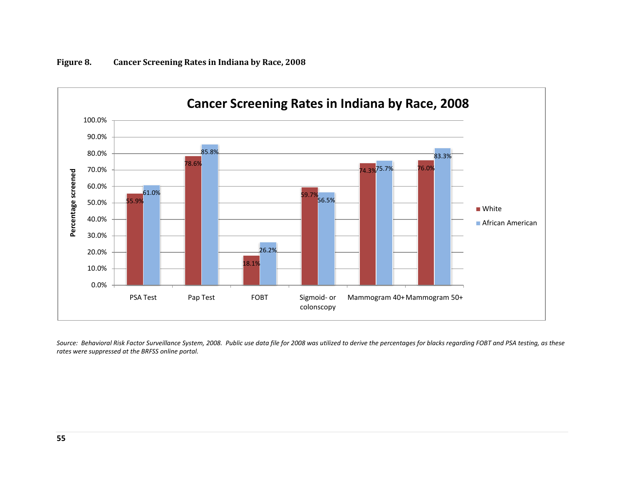

<span id="page-59-0"></span>**Figure 8. Cancer Screening Rates in Indiana by Race, 2008**

*Source: Behavioral Risk Factor Surveillance System, 2008. Public use data file for 2008 was utilized to derive the percentages for blacks regarding FOBT and PSA testing, as these rates were suppressed at the BRFSS online portal.*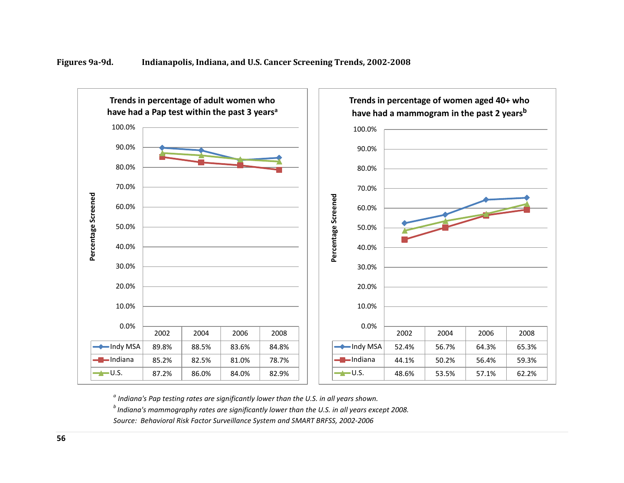<span id="page-60-0"></span>



*<sup>a</sup> Indiana's Pap testing rates are significantly lower than the U.S. in all years shown.*

*b Indiana's mammography rates are significantly lower than the U.S. in all years except 2008.* 

*Source: Behavioral Risk Factor Surveillance System and SMART BRFSS, 2002-2006*